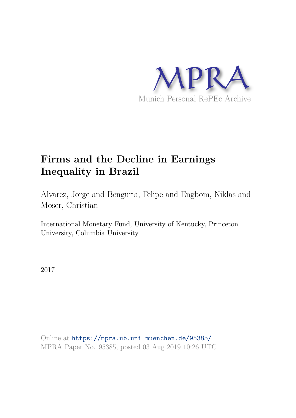

# **Firms and the Decline in Earnings Inequality in Brazil**

Alvarez, Jorge and Benguria, Felipe and Engbom, Niklas and Moser, Christian

International Monetary Fund, University of Kentucky, Princeton University, Columbia University

2017

Online at https://mpra.ub.uni-muenchen.de/95385/ MPRA Paper No. 95385, posted 03 Aug 2019 10:26 UTC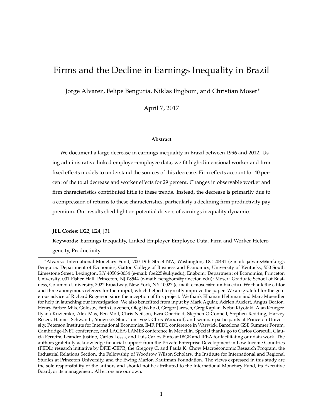# Firms and the Decline in Earnings Inequality in Brazil

Jorge Alvarez, Felipe Benguria, Niklas Engbom, and Christian Moser<sup>\*</sup>

April 7, 2017

#### **Abstract**

We document a large decrease in earnings inequality in Brazil between 1996 and 2012. Using administrative linked employer-employee data, we fit high-dimensional worker and firm fixed effects models to understand the sources of this decrease. Firm effects account for 40 percent of the total decrease and worker effects for 29 percent. Changes in observable worker and firm characteristics contributed little to these trends. Instead, the decrease is primarily due to a compression of returns to these characteristics, particularly a declining firm productivity pay premium. Our results shed light on potential drivers of earnings inequality dynamics.

**JEL Codes:** D22, E24, J31

**Keywords:** Earnings Inequality, Linked Employer-Employee Data, Firm and Worker Hetero-

geneity, Productivity

<sup>⇤</sup>Alvarez: International Monetary Fund, 700 19th Street NW, Washington, DC 20431 (e-mail: jalvarez@imf.org); Benguria: Department of Economics, Gatton College of Business and Economics, University of Kentucky, 550 South Limestone Street, Lexington, KY 40506-0034 (e-mail: fbe225@uky.edu); Engbom: Department of Economics, Princeton University, 001 Fisher Hall, Princeton, NJ 08544 (e-mail: nengbom@princeton.edu); Moser: Graduate School of Business, Columbia University, 3022 Broadway, New York, NY 10027 (e-mail: c.moser@columbia.edu). We thank the editor and three anonymous referees for their input, which helped to greatly improve the paper. We are grateful for the generous advice of Richard Rogerson since the inception of this project. We thank Elhanan Helpman and Marc Muendler for help in launching our investigation. We also benefitted from input by Mark Aguiar, Adrien Auclert, Angus Deaton, Henry Farber, Mike Golosov, Fatih Guvenen, Oleg Itskhoki, Gregor Jarosch, Greg Kaplan, Nobu Kiyotaki, Alan Krueger, Ilyana Kuziemko, Alex Mas, Ben Moll, Chris Neilson, Ezra Oberfield, Stephen O'Connell, Stephen Redding, Harvey Rosen, Hannes Schwandt, Yongseok Shin, Tom Vogl, Chris Woodruff, and seminar participants at Princeton University, Peterson Institute for International Economics, IMF, PEDL conference in Warwick, Barcelona GSE Summer Forum, Cambridge-INET conference, and LACEA-LAMES conference in Medellín. Special thanks go to Carlos Corseuil, Glaucia Ferreira, Leandro Justino, Carlos Lessa, and Luis Carlos Pinto at IBGE and IPEA for facilitating our data work. The authors gratefully acknowledge financial support from the Private Enterprise Development in Low Income Countries (PEDL) research initiative by DFID-CEPR, the Gregory C. and Paula K. Chow Macroeconomic Research Program, the Industrial Relations Section, the Fellowship of Woodrow Wilson Scholars, the Institute for International and Regional Studies at Princeton University, and the Ewing Marion Kauffman Foundation. The views expressed in this study are the sole responsibility of the authors and should not be attributed to the International Monetary Fund, its Executive Board, or its management. All errors are our own.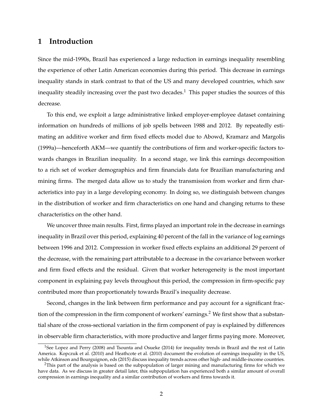### **1 Introduction**

Since the mid-1990s, Brazil has experienced a large reduction in earnings inequality resembling the experience of other Latin American economies during this period. This decrease in earnings inequality stands in stark contrast to that of the US and many developed countries, which saw inequality steadily increasing over the past two decades.<sup>1</sup> This paper studies the sources of this decrease.

To this end, we exploit a large administrative linked employer-employee dataset containing information on hundreds of millions of job spells between 1988 and 2012. By repeatedly estimating an additive worker and firm fixed effects model due to Abowd, Kramarz and Margolis (1999a)—henceforth AKM—we quantify the contributions of firm and worker-specific factors towards changes in Brazilian inequality. In a second stage, we link this earnings decomposition to a rich set of worker demographics and firm financials data for Brazilian manufacturing and mining firms. The merged data allow us to study the transmission from worker and firm characteristics into pay in a large developing economy. In doing so, we distinguish between changes in the distribution of worker and firm characteristics on one hand and changing returns to these characteristics on the other hand.

We uncover three main results. First, firms played an important role in the decrease in earnings inequality in Brazil over this period, explaining 40 percent of the fall in the variance of log earnings between 1996 and 2012. Compression in worker fixed effects explains an additional 29 percent of the decrease, with the remaining part attributable to a decrease in the covariance between worker and firm fixed effects and the residual. Given that worker heterogeneity is the most important component in explaining pay levels throughout this period, the compression in firm-specific pay contributed more than proportionately towards Brazil's inequality decrease.

Second, changes in the link between firm performance and pay account for a significant fraction of the compression in the firm component of workers' earnings.<sup>2</sup> We first show that a substantial share of the cross-sectional variation in the firm component of pay is explained by differences in observable firm characteristics, with more productive and larger firms paying more. Moreover,

<sup>&</sup>lt;sup>1</sup>See Lopez and Perry (2008) and Tsounta and Osueke (2014) for inequality trends in Brazil and the rest of Latin America. Kopczuk et al. (2010) and Heathcote et al. (2010) document the evolution of earnings inequality in the US, while Atkinson and Bourguignon, eds (2015) discuss inequality trends across other high- and middle-income countries.

<sup>&</sup>lt;sup>2</sup>This part of the analysis is based on the subpopulation of larger mining and manufacturing firms for which we have data. As we discuss in greater detail later, this subpopulation has experienced both a similar amount of overall compression in earnings inequality and a similar contribution of workers and firms towards it.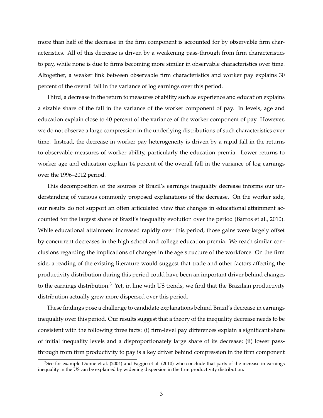more than half of the decrease in the firm component is accounted for by observable firm characteristics. All of this decrease is driven by a weakening pass-through from firm characteristics to pay, while none is due to firms becoming more similar in observable characteristics over time. Altogether, a weaker link between observable firm characteristics and worker pay explains 30 percent of the overall fall in the variance of log earnings over this period.

Third, a decrease in the return to measures of ability such as experience and education explains a sizable share of the fall in the variance of the worker component of pay. In levels, age and education explain close to 40 percent of the variance of the worker component of pay. However, we do not observe a large compression in the underlying distributions of such characteristics over time. Instead, the decrease in worker pay heterogeneity is driven by a rapid fall in the returns to observable measures of worker ability, particularly the education premia. Lower returns to worker age and education explain 14 percent of the overall fall in the variance of log earnings over the 1996–2012 period.

This decomposition of the sources of Brazil's earnings inequality decrease informs our understanding of various commonly proposed explanations of the decrease. On the worker side, our results do not support an often articulated view that changes in educational attainment accounted for the largest share of Brazil's inequality evolution over the period (Barros et al., 2010). While educational attainment increased rapidly over this period, those gains were largely offset by concurrent decreases in the high school and college education premia. We reach similar conclusions regarding the implications of changes in the age structure of the workforce. On the firm side, a reading of the existing literature would suggest that trade and other factors affecting the productivity distribution during this period could have been an important driver behind changes to the earnings distribution.<sup>3</sup> Yet, in line with US trends, we find that the Brazilian productivity distribution actually grew more dispersed over this period.

These findings pose a challenge to candidate explanations behind Brazil's decrease in earnings inequality over this period. Our results suggest that a theory of the inequality decrease needs to be consistent with the following three facts: (i) firm-level pay differences explain a significant share of initial inequality levels and a disproportionately large share of its decrease; (ii) lower passthrough from firm productivity to pay is a key driver behind compression in the firm component

 $3$ See for example Dunne et al. (2004) and Faggio et al. (2010) who conclude that parts of the increase in earnings inequality in the US can be explained by widening dispersion in the firm productivity distribution.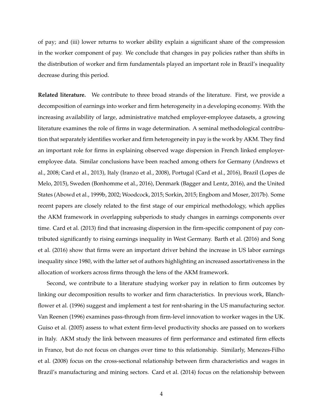of pay; and (iii) lower returns to worker ability explain a significant share of the compression in the worker component of pay. We conclude that changes in pay policies rather than shifts in the distribution of worker and firm fundamentals played an important role in Brazil's inequality decrease during this period.

**Related literature.** We contribute to three broad strands of the literature. First, we provide a decomposition of earnings into worker and firm heterogeneity in a developing economy. With the increasing availability of large, administrative matched employer-employee datasets, a growing literature examines the role of firms in wage determination. A seminal methodological contribution that separately identifies worker and firm heterogeneity in pay is the work by AKM. They find an important role for firms in explaining observed wage dispersion in French linked employeremployee data. Similar conclusions have been reached among others for Germany (Andrews et al., 2008; Card et al., 2013), Italy (Iranzo et al., 2008), Portugal (Card et al., 2016), Brazil (Lopes de Melo, 2015), Sweden (Bonhomme et al., 2016), Denmark (Bagger and Lentz, 2016), and the United States (Abowd et al., 1999b, 2002; Woodcock, 2015; Sorkin, 2015; Engbom and Moser, 2017b). Some recent papers are closely related to the first stage of our empirical methodology, which applies the AKM framework in overlapping subperiods to study changes in earnings components over time. Card et al. (2013) find that increasing dispersion in the firm-specific component of pay contributed significantly to rising earnings inequality in West Germany. Barth et al. (2016) and Song et al. (2016) show that firms were an important driver behind the increase in US labor earnings inequality since 1980, with the latter set of authors highlighting an increased assortativeness in the allocation of workers across firms through the lens of the AKM framework.

Second, we contribute to a literature studying worker pay in relation to firm outcomes by linking our decomposition results to worker and firm characteristics. In previous work, Blanchflower et al. (1996) suggest and implement a test for rent-sharing in the US manufacturing sector. Van Reenen (1996) examines pass-through from firm-level innovation to worker wages in the UK. Guiso et al. (2005) assess to what extent firm-level productivity shocks are passed on to workers in Italy. AKM study the link between measures of firm performance and estimated firm effects in France, but do not focus on changes over time to this relationship. Similarly, Menezes-Filho et al. (2008) focus on the cross-sectional relationship between firm characteristics and wages in Brazil's manufacturing and mining sectors. Card et al. (2014) focus on the relationship between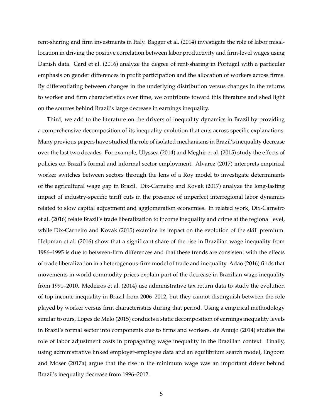rent-sharing and firm investments in Italy. Bagger et al. (2014) investigate the role of labor misallocation in driving the positive correlation between labor productivity and firm-level wages using Danish data. Card et al. (2016) analyze the degree of rent-sharing in Portugal with a particular emphasis on gender differences in profit participation and the allocation of workers across firms. By differentiating between changes in the underlying distribution versus changes in the returns to worker and firm characteristics over time, we contribute toward this literature and shed light on the sources behind Brazil's large decrease in earnings inequality.

Third, we add to the literature on the drivers of inequality dynamics in Brazil by providing a comprehensive decomposition of its inequality evolution that cuts across specific explanations. Many previous papers have studied the role of isolated mechanisms in Brazil's inequality decrease over the last two decades. For example, Ulyssea (2014) and Meghir et al. (2015) study the effects of policies on Brazil's formal and informal sector employment. Alvarez (2017) interprets empirical worker switches between sectors through the lens of a Roy model to investigate determinants of the agricultural wage gap in Brazil. Dix-Carneiro and Kovak (2017) analyze the long-lasting impact of industry-specific tariff cuts in the presence of imperfect interregional labor dynamics related to slow capital adjustment and agglomeration economies. In related work, Dix-Carneiro et al. (2016) relate Brazil's trade liberalization to income inequality and crime at the regional level, while Dix-Carneiro and Kovak (2015) examine its impact on the evolution of the skill premium. Helpman et al. (2016) show that a significant share of the rise in Brazilian wage inequality from 1986–1995 is due to between-firm differences and that these trends are consistent with the effects of trade liberalization in a heterogenous-firm model of trade and inequality. Adão (2016) finds that movements in world commodity prices explain part of the decrease in Brazilian wage inequality from 1991–2010. Medeiros et al. (2014) use administrative tax return data to study the evolution of top income inequality in Brazil from 2006–2012, but they cannot distinguish between the role played by worker versus firm characteristics during that period. Using a empirical methodology similar to ours, Lopes de Melo (2015) conducts a static decomposition of earnings inequality levels in Brazil's formal sector into components due to firms and workers. de Araujo (2014) studies the role of labor adjustment costs in propagating wage inequality in the Brazilian context. Finally, using administrative linked employer-employee data and an equilibrium search model, Engbom and Moser (2017a) argue that the rise in the minimum wage was an important driver behind Brazil's inequality decrease from 1996–2012.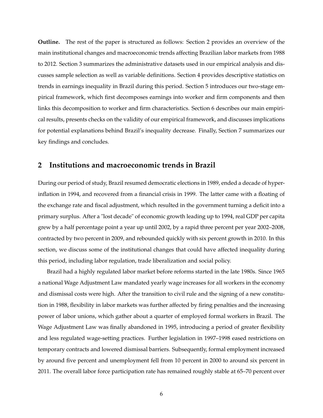**Outline.** The rest of the paper is structured as follows: Section 2 provides an overview of the main institutional changes and macroeconomic trends affecting Brazilian labor markets from 1988 to 2012. Section 3 summarizes the administrative datasets used in our empirical analysis and discusses sample selection as well as variable definitions. Section 4 provides descriptive statistics on trends in earnings inequality in Brazil during this period. Section 5 introduces our two-stage empirical framework, which first decomposes earnings into worker and firm components and then links this decomposition to worker and firm characteristics. Section 6 describes our main empirical results, presents checks on the validity of our empirical framework, and discusses implications for potential explanations behind Brazil's inequality decrease. Finally, Section 7 summarizes our key findings and concludes.

## **2 Institutions and macroeconomic trends in Brazil**

During our period of study, Brazil resumed democratic elections in 1989, ended a decade of hyperinflation in 1994, and recovered from a financial crisis in 1999. The latter came with a floating of the exchange rate and fiscal adjustment, which resulted in the government turning a deficit into a primary surplus. After a "lost decade" of economic growth leading up to 1994, real GDP per capita grew by a half percentage point a year up until 2002, by a rapid three percent per year 2002–2008, contracted by two percent in 2009, and rebounded quickly with six percent growth in 2010. In this section, we discuss some of the institutional changes that could have affected inequality during this period, including labor regulation, trade liberalization and social policy.

Brazil had a highly regulated labor market before reforms started in the late 1980s. Since 1965 a national Wage Adjustment Law mandated yearly wage increases for all workers in the economy and dismissal costs were high. After the transition to civil rule and the signing of a new constitution in 1988, flexibility in labor markets was further affected by firing penalties and the increasing power of labor unions, which gather about a quarter of employed formal workers in Brazil. The Wage Adjustment Law was finally abandoned in 1995, introducing a period of greater flexibility and less regulated wage-setting practices. Further legislation in 1997–1998 eased restrictions on temporary contracts and lowered dismissal barriers. Subsequently, formal employment increased by around five percent and unemployment fell from 10 percent in 2000 to around six percent in 2011. The overall labor force participation rate has remained roughly stable at 65–70 percent over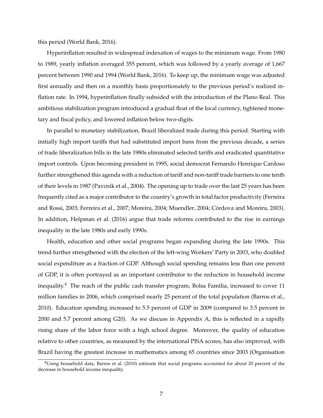this period (World Bank, 2016).

Hyperinflation resulted in widespread indexation of wages to the minimum wage. From 1980 to 1989, yearly inflation averaged 355 percent, which was followed by a yearly average of 1,667 percent between 1990 and 1994 (World Bank, 2016). To keep up, the minimum wage was adjusted first annually and then on a monthly basis proportionately to the previous period's realized inflation rate. In 1994, hyperinflation finally subsided with the introduction of the Plano Real. This ambitious stabilization program introduced a gradual float of the local currency, tightened monetary and fiscal policy, and lowered inflation below two-digits.

In parallel to monetary stabilization, Brazil liberalized trade during this period. Starting with initially high import tariffs that had substituted import bans from the previous decade, a series of trade liberalization bills in the late 1980s eliminated selected tariffs and eradicated quantitative import controls. Upon becoming president in 1995, social democrat Fernando Henrique Cardoso further strengthened this agenda with a reduction of tariff and non-tariff trade barriers to one tenth of their levels in 1987 (Pavcnik et al., 2004). The opening up to trade over the last 25 years has been frequently cited as a major contributor to the country's growth in total factor productivity (Ferreira and Rossi, 2003; Ferreira et al., 2007; Moreira, 2004; Muendler, 2004; Córdova and Moreira, 2003). In addition, Helpman et al. (2016) argue that trade reforms contributed to the rise in earnings inequality in the late 1980s and early 1990s.

Health, education and other social programs began expanding during the late 1990s. This trend further strengthened with the election of the left-wing Workers' Party in 2003, who doubled social expenditure as a fraction of GDP. Although social spending remains less than one percent of GDP, it is often portrayed as an important contributor to the reduction in household income inequality.<sup>4</sup> The reach of the public cash transfer program, Bolsa Familia, increased to cover 11 million families in 2006, which comprised nearly 25 percent of the total population (Barros et al., 2010). Education spending increased to 5.5 percent of GDP in 2009 (compared to 3.5 percent in 2000 and 5.7 percent among G20). As we discuss in Appendix A, this is reflected in a rapidly rising share of the labor force with a high school degree. Moreover, the quality of education relative to other countries, as measured by the international PISA scores, has also improved, with Brazil having the greatest increase in mathematics among 65 countries since 2003 (Organisation

<sup>&</sup>lt;sup>4</sup>Using household data, Barros et al. (2010) estimate that social programs accounted for about 20 percent of the decrease in household income inequality.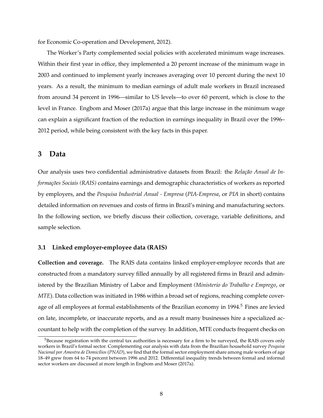for Economic Co-operation and Development, 2012).

The Worker's Party complemented social policies with accelerated minimum wage increases. Within their first year in office, they implemented a 20 percent increase of the minimum wage in 2003 and continued to implement yearly increases averaging over 10 percent during the next 10 years. As a result, the minimum to median earnings of adult male workers in Brazil increased from around 34 percent in 1996—similar to US levels—to over 60 percent, which is close to the level in France. Engbom and Moser (2017a) argue that this large increase in the minimum wage can explain a significant fraction of the reduction in earnings inequality in Brazil over the 1996– 2012 period, while being consistent with the key facts in this paper.

#### **3 Data**

Our analysis uses two confidential administrative datasets from Brazil: the *Relação Anual de Informações Sociais (RAIS)* contains earnings and demographic characteristics of workers as reported by employers, and the *Pesquisa Industrial Anual - Empresa* (*PIA-Empresa*, or *PIA* in short) contains detailed information on revenues and costs of firms in Brazil's mining and manufacturing sectors. In the following section, we briefly discuss their collection, coverage, variable definitions, and sample selection.

#### **3.1 Linked employer-employee data (RAIS)**

**Collection and coverage.** The RAIS data contains linked employer-employee records that are constructed from a mandatory survey filled annually by all registered firms in Brazil and administered by the Brazilian Ministry of Labor and Employment *(Ministerio do Trabalho e Emprego*, or *MTE*). Data collection was initiated in 1986 within a broad set of regions, reaching complete coverage of all employees at formal establishments of the Brazilian economy in 1994.<sup>5</sup> Fines are levied on late, incomplete, or inaccurate reports, and as a result many businesses hire a specialized accountant to help with the completion of the survey. In addition, MTE conducts frequent checks on

<sup>&</sup>lt;sup>5</sup>Because registration with the central tax authorities is necessary for a firm to be surveyed, the RAIS covers only workers in Brazil's formal sector. Complementing our analysis with data from the Brazilian household survey *Pesquisa Nacional por Amostra de Domicílios* (*PNAD*), we find that the formal sector employment share among male workers of age 18–49 grew from 64 to 74 percent between 1996 and 2012. Differential inequality trends between formal and informal sector workers are discussed at more length in Engbom and Moser (2017a).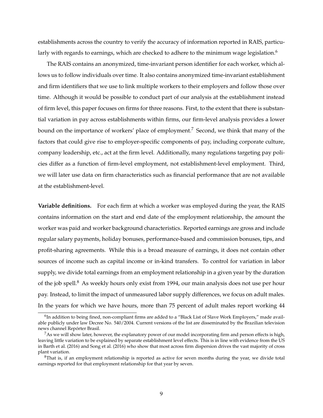establishments across the country to verify the accuracy of information reported in RAIS, particularly with regards to earnings, which are checked to adhere to the minimum wage legislation.<sup>6</sup>

The RAIS contains an anonymized, time-invariant person identifier for each worker, which allows us to follow individuals over time. It also contains anonymized time-invariant establishment and firm identifiers that we use to link multiple workers to their employers and follow those over time. Although it would be possible to conduct part of our analysis at the establishment instead of firm level, this paper focuses on firms for three reasons. First, to the extent that there is substantial variation in pay across establishments within firms, our firm-level analysis provides a lower bound on the importance of workers' place of employment.<sup>7</sup> Second, we think that many of the factors that could give rise to employer-specific components of pay, including corporate culture, company leadership, etc., act at the firm level. Additionally, many regulations targeting pay policies differ as a function of firm-level employment, not establishment-level employment. Third, we will later use data on firm characteristics such as financial performance that are not available at the establishment-level.

**Variable definitions.** For each firm at which a worker was employed during the year, the RAIS contains information on the start and end date of the employment relationship, the amount the worker was paid and worker background characteristics. Reported earnings are gross and include regular salary payments, holiday bonuses, performance-based and commission bonuses, tips, and profit-sharing agreements. While this is a broad measure of earnings, it does not contain other sources of income such as capital income or in-kind transfers. To control for variation in labor supply, we divide total earnings from an employment relationship in a given year by the duration of the job spell. $8$  As weekly hours only exist from 1994, our main analysis does not use per hour pay. Instead, to limit the impact of unmeasured labor supply differences, we focus on adult males. In the years for which we have hours, more than 75 percent of adult males report working 44

 $^6$ In addition to being fined, non-compliant firms are added to a "Black List of Slave Work Employers," made available publicly under law Decree No. 540/2004. Current versions of the list are disseminated by the Brazilian television news channel Repórter Brasil.

 $^7$ As we will show later, however, the explanatory power of our model incorporating firm and person effects is high, leaving little variation to be explained by separate establishment level effects. This is in line with evidence from the US in Barth et al. (2016) and Song et al. (2016) who show that most across firm dispersion drives the vast majority of cross plant variation.

 ${}^{8}$ That is, if an employment relationship is reported as active for seven months during the year, we divide total earnings reported for that employment relationship for that year by seven.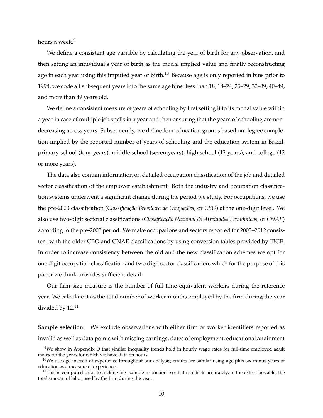hours a week.<sup>9</sup>

We define a consistent age variable by calculating the year of birth for any observation, and then setting an individual's year of birth as the modal implied value and finally reconstructing age in each year using this imputed year of birth. $10$  Because age is only reported in bins prior to 1994, we code all subsequent years into the same age bins: less than 18, 18–24, 25–29, 30–39, 40–49, and more than 49 years old.

We define a consistent measure of years of schooling by first setting it to its modal value within a year in case of multiple job spells in a year and then ensuring that the years of schooling are nondecreasing across years. Subsequently, we define four education groups based on degree completion implied by the reported number of years of schooling and the education system in Brazil: primary school (four years), middle school (seven years), high school (12 years), and college (12 or more years).

The data also contain information on detailed occupation classification of the job and detailed sector classification of the employer establishment. Both the industry and occupation classification systems underwent a significant change during the period we study. For occupations, we use the pre-2003 classification (*Classificação Brasileira de Ocupações*, or *CBO*) at the one-digit level. We also use two-digit sectoral classifications (*Classificação Nacional de Atividades Económicas*, or *CNAE*) according to the pre-2003 period. We make occupations and sectors reported for 2003–2012 consistent with the older CBO and CNAE classifications by using conversion tables provided by IBGE. In order to increase consistency between the old and the new classification schemes we opt for one digit occupation classification and two digit sector classification, which for the purpose of this paper we think provides sufficient detail.

Our firm size measure is the number of full-time equivalent workers during the reference year. We calculate it as the total number of worker-months employed by the firm during the year divided by 12.<sup>11</sup>

**Sample selection.** We exclude observations with either firm or worker identifiers reported as invalid as well as data points with missing earnings, dates of employment, educational attainment

 $9$ We show in Appendix D that similar inequality trends hold in hourly wage rates for full-time employed adult males for the years for which we have data on hours.

 $10$ We use age instead of experience throughout our analysis; results are similar using age plus six minus years of education as a measure of experience.

 $11$ This is computed prior to making any sample restrictions so that it reflects accurately, to the extent possible, the total amount of labor used by the firm during the year.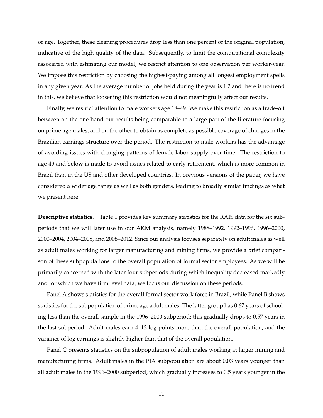or age. Together, these cleaning procedures drop less than one percent of the original population, indicative of the high quality of the data. Subsequently, to limit the computational complexity associated with estimating our model, we restrict attention to one observation per worker-year. We impose this restriction by choosing the highest-paying among all longest employment spells in any given year. As the average number of jobs held during the year is 1.2 and there is no trend in this, we believe that loosening this restriction would not meaningfully affect our results.

Finally, we restrict attention to male workers age 18–49. We make this restriction as a trade-off between on the one hand our results being comparable to a large part of the literature focusing on prime age males, and on the other to obtain as complete as possible coverage of changes in the Brazilian earnings structure over the period. The restriction to male workers has the advantage of avoiding issues with changing patterns of female labor supply over time. The restriction to age 49 and below is made to avoid issues related to early retirement, which is more common in Brazil than in the US and other developed countries. In previous versions of the paper, we have considered a wider age range as well as both genders, leading to broadly similar findings as what we present here.

**Descriptive statistics.** Table 1 provides key summary statistics for the RAIS data for the six subperiods that we will later use in our AKM analysis, namely 1988–1992, 1992–1996, 1996–2000, 2000–2004, 2004–2008, and 2008–2012. Since our analysis focuses separately on adult males as well as adult males working for larger manufacturing and mining firms, we provide a brief comparison of these subpopulations to the overall population of formal sector employees. As we will be primarily concerned with the later four subperiods during which inequality decreased markedly and for which we have firm level data, we focus our discussion on these periods.

Panel A shows statistics for the overall formal sector work force in Brazil, while Panel B shows statistics for the subpopulation of prime age adult males. The latter group has 0.67 years of schooling less than the overall sample in the 1996–2000 subperiod; this gradually drops to 0.57 years in the last subperiod. Adult males earn 4–13 log points more than the overall population, and the variance of log earnings is slightly higher than that of the overall population.

Panel C presents statistics on the subpopulation of adult males working at larger mining and manufacturing firms. Adult males in the PIA subpopulation are about 0.03 years younger than all adult males in the 1996–2000 subperiod, which gradually increases to 0.5 years younger in the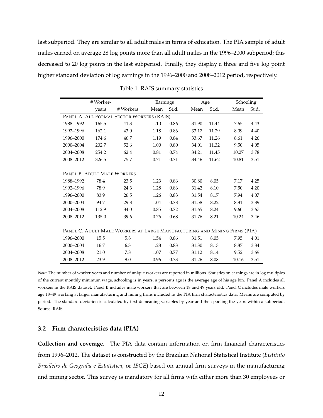last subperiod. They are similar to all adult males in terms of education. The PIA sample of adult males earned on average 28 log points more than all adult males in the 1996–2000 subperiod; this decreased to 20 log points in the last subperiod. Finally, they display a three and five log point higher standard deviation of log earnings in the 1996–2000 and 2008–2012 period, respectively.

|                             | # Worker- |                                                                           | Earnings |       | Age   |       | Schooling |       |
|-----------------------------|-----------|---------------------------------------------------------------------------|----------|-------|-------|-------|-----------|-------|
|                             | vears     | # Workers                                                                 | Mean     | St.d. | Mean  | St.d. | Mean      | St.d. |
|                             |           | PANEL A. ALL FORMAL SECTOR WORKERS (RAIS)                                 |          |       |       |       |           |       |
| 1988-1992                   | 165.5     | 41.3                                                                      | 1.10     | 0.86  | 31.90 | 11.44 | 7.65      | 4.43  |
| 1992-1996                   | 162.1     | 43.0                                                                      | 1.18     | 0.86  | 33.17 | 11.29 | 8.09      | 4.40  |
| 1996-2000                   | 174.6     | 46.7                                                                      | 1.19     | 0.84  | 33.67 | 11.26 | 8.61      | 4.26  |
| 2000-2004                   | 202.7     | 52.6                                                                      | 1.00     | 0.80  | 34.01 | 11.32 | 9.50      | 4.05  |
| 2004-2008                   | 254.2     | 62.4                                                                      | 0.81     | 0.74  | 34.21 | 11.45 | 10.27     | 3.78  |
| 2008-2012                   | 326.5     | 75.7                                                                      | 0.71     | 0.71  | 34.46 | 11.62 | 10.81     | 3.51  |
|                             |           |                                                                           |          |       |       |       |           |       |
| PANEL B. ADULT MALE WORKERS |           |                                                                           |          |       |       |       |           |       |
| 1988-1992                   | 78.4      | 23.5                                                                      | 1.23     | 0.86  | 30.80 | 8.05  | 7.17      | 4.25  |
| 1992-1996                   | 78.9      | 24.3                                                                      | 1.28     | 0.86  | 31.42 | 8.10  | 7.50      | 4.20  |
| 1996-2000                   | 83.9      | 26.5                                                                      | 1.26     | 0.83  | 31.54 | 8.17  | 7.94      | 4.07  |
| 2000-2004                   | 94.7      | 29.8                                                                      | 1.04     | 0.78  | 31.58 | 8.22  | 8.81      | 3.89  |
| 2004-2008                   | 112.9     | 34.0                                                                      | 0.85     | 0.72  | 31.65 | 8.24  | 9.60      | 3.67  |
| 2008-2012                   | 135.0     | 39.6                                                                      | 0.76     | 0.68  | 31.76 | 8.21  | 10.24     | 3.46  |
|                             |           |                                                                           |          |       |       |       |           |       |
|                             |           | PANEL C. ADULT MALE WORKERS AT LARGE MANUFACTURING AND MINING FIRMS (PIA) |          |       |       |       |           |       |
| 1996-2000                   | 15.5      | 5.8                                                                       | 1.54     | 0.86  | 31.51 | 8.05  | 7.95      | 4.01  |
| 2000-2004                   | 16.7      | 6.3                                                                       | 1.28     | 0.83  | 31.30 | 8.13  | 8.87      | 3.84  |
| 2004-2008                   | 21.0      | 7.8                                                                       | 1.07     | 0.77  | 31.12 | 8.14  | 9.52      | 3.69  |
| 2008-2012                   | 23.9      | 9.0                                                                       | 0.96     | 0.73  | 31.26 | 8.08  | 10.16     | 3.51  |

Table 1. RAIS summary statistics

*Note:* The number of worker-years and number of unique workers are reported in millions. Statistics on earnings are in log multiples of the current monthly minimum wage, schooling is in years, a person's age is the average age of his age bin. Panel A includes all workers in the RAIS dataset. Panel B includes male workers that are between 18 and 49 years old. Panel C includes male workers age 18–49 working at larger manufacturing and mining firms included in the PIA firm characteristics data. Means are computed by period. The standard deviation is calculated by first demeaning variables by year and then pooling the years within a subperiod. Source: RAIS.

#### **3.2 Firm characteristics data (PIA)**

**Collection and coverage.** The PIA data contain information on firm financial characteristics from 1996–2012. The dataset is constructed by the Brazilian National Statistical Institute (*Instituto Brasileiro de Geografia e Estatística*, or *IBGE*) based on annual firm surveys in the manufacturing and mining sector. This survey is mandatory for all firms with either more than 30 employees or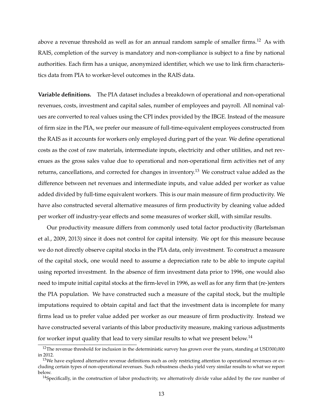above a revenue threshold as well as for an annual random sample of smaller firms.<sup>12</sup> As with RAIS, completion of the survey is mandatory and non-compliance is subject to a fine by national authorities. Each firm has a unique, anonymized identifier, which we use to link firm characteristics data from PIA to worker-level outcomes in the RAIS data.

**Variable definitions.** The PIA dataset includes a breakdown of operational and non-operational revenues, costs, investment and capital sales, number of employees and payroll. All nominal values are converted to real values using the CPI index provided by the IBGE. Instead of the measure of firm size in the PIA, we prefer our measure of full-time-equivalent employees constructed from the RAIS as it accounts for workers only employed during part of the year. We define operational costs as the cost of raw materials, intermediate inputs, electricity and other utilities, and net revenues as the gross sales value due to operational and non-operational firm activities net of any returns, cancellations, and corrected for changes in inventory.<sup>13</sup> We construct value added as the difference between net revenues and intermediate inputs, and value added per worker as value added divided by full-time equivalent workers. This is our main measure of firm productivity. We have also constructed several alternative measures of firm productivity by cleaning value added per worker off industry-year effects and some measures of worker skill, with similar results.

Our productivity measure differs from commonly used total factor productivity (Bartelsman et al., 2009, 2013) since it does not control for capital intensity. We opt for this measure because we do not directly observe capital stocks in the PIA data, only investment. To construct a measure of the capital stock, one would need to assume a depreciation rate to be able to impute capital using reported investment. In the absence of firm investment data prior to 1996, one would also need to impute initial capital stocks at the firm-level in 1996, as well as for any firm that (re-)enters the PIA population. We have constructed such a measure of the capital stock, but the multiple imputations required to obtain capital and fact that the investment data is incomplete for many firms lead us to prefer value added per worker as our measure of firm productivity. Instead we have constructed several variants of this labor productivity measure, making various adjustments for worker input quality that lead to very similar results to what we present below.<sup>14</sup>

<sup>&</sup>lt;sup>12</sup>The revenue threshold for inclusion in the deterministic survey has grown over the years, standing at USD300,000 in 2012.

<sup>&</sup>lt;sup>13</sup>We have explored alternative revenue definitions such as only restricting attention to operational revenues or excluding certain types of non-operational revenues. Such robustness checks yield very similar results to what we report below.

 $14$ Specifically, in the construction of labor productivity, we alternatively divide value added by the raw number of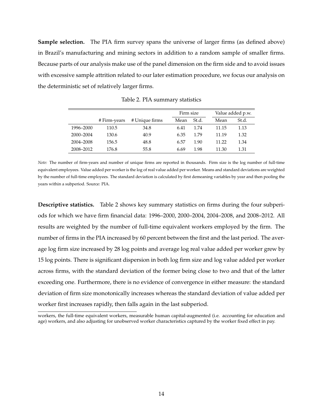**Sample selection.** The PIA firm survey spans the universe of larger firms (as defined above) in Brazil's manufacturing and mining sectors in addition to a random sample of smaller firms. Because parts of our analysis make use of the panel dimension on the firm side and to avoid issues with excessive sample attrition related to our later estimation procedure, we focus our analysis on the deterministic set of relatively larger firms.

|           |              |                | Firm size |       |       | Value added p.w. |
|-----------|--------------|----------------|-----------|-------|-------|------------------|
|           | # Firm-years | # Unique firms | Mean      | St.d. | Mean  | St.d.            |
| 1996-2000 | 110.5        | 34.8           | 6.41      | 1.74  | 11.15 | 1.13             |
| 2000-2004 | 130.6        | 40.9           | 6.35      | 1.79  | 11.19 | 1.32             |
| 2004-2008 | 156.5        | 48.8           | 6.57      | 1.90  | 11.22 | 1.34             |
| 2008-2012 | 176.8        | 55.8           | 6.69      | 1.98  | 11.30 | 1.31             |

Table 2. PIA summary statistics

*Note:* The number of firm-years and number of unique firms are reported in thousands. Firm size is the log number of full-time equivalent employees. Value added per worker is the log of real value added per worker. Means and standard deviations are weighted by the number of full-time employees. The standard deviation is calculated by first demeaning variables by year and then pooling the years within a subperiod. Source: PIA.

**Descriptive statistics.** Table 2 shows key summary statistics on firms during the four subperiods for which we have firm financial data: 1996–2000, 2000–2004, 2004–2008, and 2008–2012. All results are weighted by the number of full-time equivalent workers employed by the firm. The number of firms in the PIA increased by 60 percent between the first and the last period. The average log firm size increased by 28 log points and average log real value added per worker grew by 15 log points. There is significant dispersion in both log firm size and log value added per worker across firms, with the standard deviation of the former being close to two and that of the latter exceeding one. Furthermore, there is no evidence of convergence in either measure: the standard deviation of firm size monotonically increases whereas the standard deviation of value added per worker first increases rapidly, then falls again in the last subperiod.

workers, the full-time equivalent workers, measurable human capital-augmented (i.e. accounting for education and age) workers, and also adjusting for unobserved worker characteristics captured by the worker fixed effect in pay.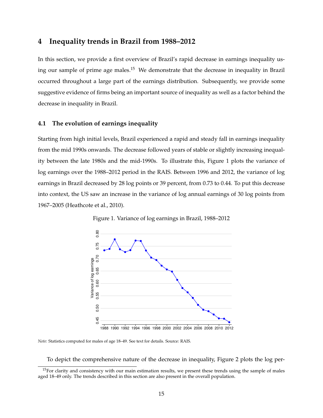## **4 Inequality trends in Brazil from 1988–2012**

In this section, we provide a first overview of Brazil's rapid decrease in earnings inequality using our sample of prime age males.<sup>15</sup> We demonstrate that the decrease in inequality in Brazil occurred throughout a large part of the earnings distribution. Subsequently, we provide some suggestive evidence of firms being an important source of inequality as well as a factor behind the decrease in inequality in Brazil.

#### **4.1 The evolution of earnings inequality**

Starting from high initial levels, Brazil experienced a rapid and steady fall in earnings inequality from the mid 1990s onwards. The decrease followed years of stable or slightly increasing inequality between the late 1980s and the mid-1990s. To illustrate this, Figure 1 plots the variance of log earnings over the 1988–2012 period in the RAIS. Between 1996 and 2012, the variance of log earnings in Brazil decreased by 28 log points or 39 percent, from 0.73 to 0.44. To put this decrease into context, the US saw an increase in the variance of log annual earnings of 30 log points from 1967–2005 (Heathcote et al., 2010).



Figure 1. Variance of log earnings in Brazil, 1988–2012

*Note:* Statistics computed for males of age 18–49. See text for details. Source: RAIS.

To depict the comprehensive nature of the decrease in inequality, Figure 2 plots the log per-

 $15$ For clarity and consistency with our main estimation results, we present these trends using the sample of males aged 18–49 only. The trends described in this section are also present in the overall population.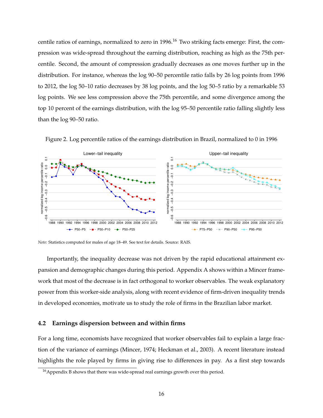centile ratios of earnings, normalized to zero in 1996.<sup>16</sup> Two striking facts emerge: First, the compression was wide-spread throughout the earning distribution, reaching as high as the 75th percentile. Second, the amount of compression gradually decreases as one moves further up in the distribution. For instance, whereas the log 90–50 percentile ratio falls by 26 log points from 1996 to 2012, the log 50–10 ratio decreases by 38 log points, and the log 50–5 ratio by a remarkable 53 log points. We see less compression above the 75th percentile, and some divergence among the top 10 percent of the earnings distribution, with the log 95–50 percentile ratio falling slightly less than the log 90–50 ratio.



Figure 2. Log percentile ratios of the earnings distribution in Brazil, normalized to 0 in 1996

Importantly, the inequality decrease was not driven by the rapid educational attainment expansion and demographic changes during this period. Appendix A shows within a Mincer framework that most of the decrease is in fact orthogonal to worker observables. The weak explanatory power from this worker-side analysis, along with recent evidence of firm-driven inequality trends in developed economies, motivate us to study the role of firms in the Brazilian labor market.

#### **4.2 Earnings dispersion between and within firms**

For a long time, economists have recognized that worker observables fail to explain a large fraction of the variance of earnings (Mincer, 1974; Heckman et al., 2003). A recent literature instead highlights the role played by firms in giving rise to differences in pay. As a first step towards

*Note:* Statistics computed for males of age 18–49. See text for details. Source: RAIS.

 $16$ Appendix B shows that there was wide-spread real earnings growth over this period.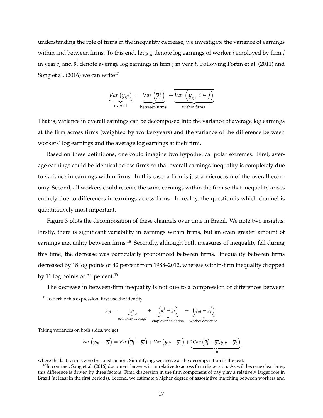understanding the role of firms in the inequality decrease, we investigate the variance of earnings within and between firms. To this end, let *yijt* denote log earnings of worker *i* employed by firm *j* in year  $t$ , and  $\bar{y}^j_t$  denote average log earnings in firm  $j$  in year  $t$ . Following Fortin et al. (2011) and Song et al. (2016) we can write<sup>17</sup>

$$
\underbrace{Var\left(y_{ijt}\right)}_{\text{overall}} = \underbrace{Var\left(\overline{y}_t^j\right)}_{\text{between firms}} + \underbrace{\overline{Var\left(y_{ijt} \mid i \in j\right)}}_{\text{within firms}}
$$

That is, variance in overall earnings can be decomposed into the variance of average log earnings at the firm across firms (weighted by worker-years) and the variance of the difference between workers' log earnings and the average log earnings at their firm.

Based on these definitions, one could imagine two hypothetical polar extremes. First, average earnings could be identical across firms so that overall earnings inequality is completely due to variance in earnings within firms. In this case, a firm is just a microcosm of the overall economy. Second, all workers could receive the same earnings within the firm so that inequality arises entirely due to differences in earnings across firms. In reality, the question is which channel is quantitatively most important.

Figure 3 plots the decomposition of these channels over time in Brazil. We note two insights: Firstly, there is significant variability in earnings within firms, but an even greater amount of earnings inequality between firms.<sup>18</sup> Secondly, although both measures of inequality fell during this time, the decrease was particularly pronounced between firms. Inequality between firms decreased by 18 log points or 42 percent from 1988–2012, whereas within-firm inequality dropped by 11 log points or 36 percent.<sup>19</sup>

The decrease in between-firm inequality is not due to a compression of differences between

$$
y_{ijt} = \underbrace{\overline{y_t}}_{\text{economy average}} + \underbrace{\left(\overline{y}_t^j - \overline{y}_t\right)}_{\text{employee deviation}} + \underbrace{\left(y_{ijt} - \overline{y}_t^j\right)}_{\text{worker deviation}}
$$

Taking variances on both sides, we get

$$
Var\left(y_{ijt} - \overline{y_t}\right) = Var\left(\overline{y}_t^j - \overline{y_t}\right) + Var\left(y_{ijt} - \overline{y}_t^j\right) + \underbrace{2Cov\left(\overline{y}_t^j - \overline{y}_t, y_{ijt} - \overline{y}_t^j\right)}_{=0}
$$

where the last term is zero by construction. Simplifying, we arrive at the decomposition in the text.

 $17$ To derive this expression, first use the identity

 $^{18}$ In contrast, Song et al. (2016) document larger within relative to across firm dispersion. As will become clear later, this difference is driven by three factors. First, dispersion in the firm component of pay play a relatively larger role in Brazil (at least in the first periods). Second, we estimate a higher degree of assortative matching between workers and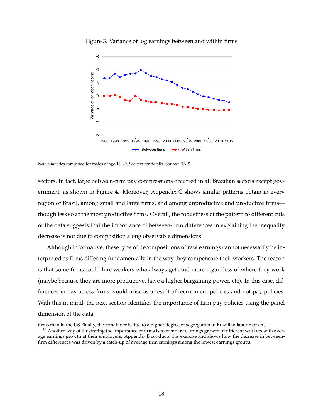

Figure 3. Variance of log earnings between and within firms

*Note:* Statistics computed for males of age 18–49. See text for details. Source: RAIS.

sectors. In fact, large between-firm pay compressions occurred in all Brazilian sectors except government, as shown in Figure 4. Moreover, Appendix C shows similar patterns obtain in every region of Brazil, among small and large firms, and among unproductive and productive firms though less so at the most productive firms. Overall, the robustness of the pattern to different cuts of the data suggests that the importance of between-firm differences in explaining the inequality decrease is not due to composition along observable dimensions.

Although informative, these type of decompositions of raw earnings cannot necessarily be interpreted as firms differing fundamentally in the way they compensate their workers. The reason is that some firms could hire workers who always get paid more regardless of where they work (maybe because they are more productive, have a higher bargaining power, etc). In this case, differences in pay across firms would arise as a result of recruitment policies and not pay policies. With this in mind, the next section identifies the importance of firm pay policies using the panel dimension of the data.

firms than in the US Finally, the remainder is due to a higher degree of segregation in Brazilian labor markets.

 $19$  Another way of illustrating the importance of firms is to compare earnings growth of different workers with average earnings growth at their employers. Appendix B conducts this exercise and shows how the decrease in betweenfirm differences was driven by a catch-up of average firm earnings among the lowest earnings groups.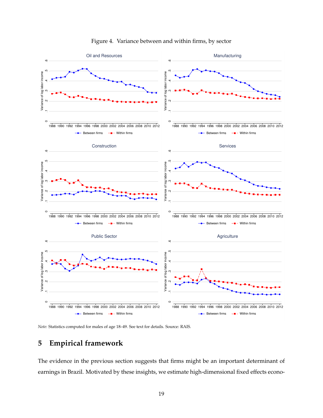

#### Figure 4. Variance between and within firms, by sector

*Note:* Statistics computed for males of age 18–49. See text for details. Source: RAIS.

# **5 Empirical framework**

The evidence in the previous section suggests that firms might be an important determinant of earnings in Brazil. Motivated by these insights, we estimate high-dimensional fixed effects econo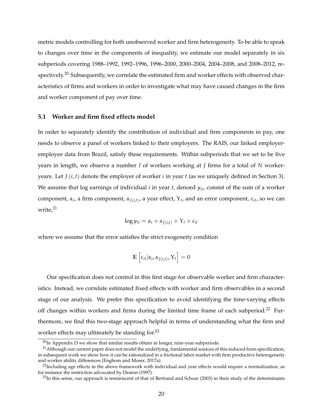metric models controlling for both unobserved worker and firm heterogeneity. To be able to speak to changes over time in the components of inequality, we estimate our model separately in six subperiods covering 1988–1992, 1992–1996, 1996–2000, 2000–2004, 2004–2008, and 2008–2012, respectively.<sup>20</sup> Subsequently, we correlate the estimated firm and worker effects with observed characteristics of firms and workers in order to investigate what may have caused changes in the firm and worker component of pay over time.

#### **5.1 Worker and firm fixed effects model**

In order to separately identify the contribution of individual and firm components in pay, one needs to observe a panel of workers linked to their employers. The RAIS, our linked employeremployee data from Brazil, satisfy these requirements. Within subperiods that we set to be five years in length, we observe a number *I* of workers working at *J* firms for a total of *N* workeryears. Let *J* (*i*, *t*) denote the employer of worker *i* in year *t* (as we uniquely defined in Section 3). We assume that log earnings of individual *i* in year *t*, denoed *yit*, consist of the sum of a worker component, *α<sup>i</sup>* , a firm component, *αJ*(*i*,*t*) , a year effect, Υ*<sup>t</sup>* , and an error component, *εit*, so we can write,<sup>21</sup>

$$
\log y_{it} = \alpha_i + \alpha_{J(i,t)} + Y_t + \varepsilon_{it}
$$

where we assume that the error satisfies the strict exogeneity condition

$$
\mathbb{E}\left[\varepsilon_{it}|\alpha_i,\alpha_{J(i,t)},\Upsilon_t\right]=0
$$

Our specification does not control in this first stage for observable worker and firm characteristics. Instead, we correlate estimated fixed effects with worker and firm observables in a second stage of our analysis. We prefer this specification to avoid identifying the time-varying effects off changes within workers and firms during the limited time frame of each subperiod.<sup>22</sup> Furthermore, we find this two-stage approach helpful in terms of understanding what the firm and worker effects may ultimately be standing for.<sup>23</sup>

 $^{20}$ In Appendix D we show that similar results obtain in longer, nine-year subperiods.

<sup>&</sup>lt;sup>21</sup> Although our current paper does not model the underlying, fundamental sources of this reduced form specification, in subsequent work we show how it can be rationalized in a frictional labor market with firm productive heterogeneity and worker ability differences (Engbom and Moser, 2017a).

 $^{22}$ Including age effects in the above framework with individual and year effects would require a normalization, as for instance the restriction advocated by Deaton (1997).

 $^{23}$ In this sense, our approach is reminiscent of that of Bertrand and Schoar (2003) in their study of the determinants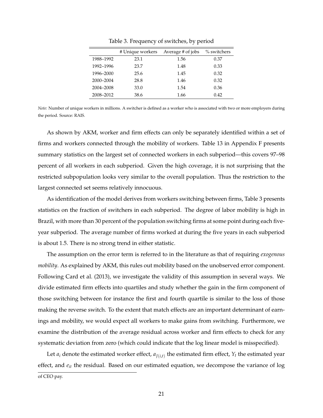|           | # Unique workers | Average # of jobs | % switchers |
|-----------|------------------|-------------------|-------------|
| 1988-1992 | 23.1             | 1.56              | 0.37        |
| 1992-1996 | 23.7             | 1.48              | 0.33        |
| 1996-2000 | 25.6             | 1.45              | 0.32        |
| 2000-2004 | 28.8             | 1.46              | 0.32        |
| 2004-2008 | 33.0             | 1.54              | 0.36        |
| 2008-2012 | 38.6             | 1.66              | 0.42        |

Table 3. Frequency of switches, by period

*Note:* Number of unique workers in millions. A switcher is defined as a worker who is associated with two or more employers during the period. Source: RAIS.

As shown by AKM, worker and firm effects can only be separately identified within a set of firms and workers connected through the mobility of workers. Table 13 in Appendix F presents summary statistics on the largest set of connected workers in each subperiod—this covers 97–98 percent of all workers in each subperiod. Given the high coverage, it is not surprising that the restricted subpopulation looks very similar to the overall population. Thus the restriction to the largest connected set seems relatively innocuous.

As identification of the model derives from workers switching between firms, Table 3 presents statistics on the fraction of switchers in each subperiod. The degree of labor mobility is high in Brazil, with more than 30 percent of the population switching firms at some point during each fiveyear subperiod. The average number of firms worked at during the five years in each subperiod is about 1.5. There is no strong trend in either statistic.

The assumption on the error term is referred to in the literature as that of requiring *exogenous mobility*. As explained by AKM, this rules out mobility based on the unobserved error component. Following Card et al. (2013), we investigate the validity of this assumption in several ways. We divide estimated firm effects into quartiles and study whether the gain in the firm component of those switching between for instance the first and fourth quartile is similar to the loss of those making the reverse switch. To the extent that match effects are an important determinant of earnings and mobility, we would expect all workers to make gains from switching. Furthermore, we examine the distribution of the average residual across worker and firm effects to check for any systematic deviation from zero (which could indicate that the log linear model is misspecified).

Let  $a_i$  denote the estimated worker effect,  $a_{J(i,t)}$  the estimated firm effect,  $Y_t$  the estimated year effect, and  $e_{it}$  the residual. Based on our estimated equation, we decompose the variance of log

of CEO pay.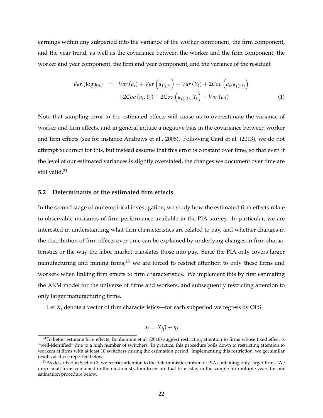earnings within any subperiod into the variance of the worker component, the firm component, and the year trend, as well as the covariance between the worker and the firm component, the worker and year component, the firm and year component, and the variance of the residual:

$$
Var (\log y_{it}) = Var (a_i) + Var \left( a_{J(i,t)} \right) + Var (Y_t) + 2Cov \left( a_i, a_{J(i,t)} \right) + 2Cov (a_i, Y_t) + 2Cov \left( a_{J(i,t)}, Y_t \right) + Var (e_{it})
$$
\n(1)

Note that sampling error in the estimated effects will cause us to overestimate the variance of worker and firm effects, and in general induce a negative bias in the covariance between worker and firm effects (see for instance Andrews et al., 2008). Following Card et al. (2013), we do not attempt to correct for this, but instead assume that this error is constant over time, so that even if the level of our estimated variances is slightly overstated, the changes we document over time are still valid.<sup>24</sup>

#### **5.2 Determinants of the estimated firm effects**

In the second stage of our empirical investigation, we study how the estimated firm effects relate to observable measures of firm performance available in the PIA survey. In particular, we are interested in understanding what firm characteristics are related to pay, and whether changes in the distribution of firm effects over time can be explained by underlying changes in firm characteristics or the way the labor market translates those into pay. Since the PIA only covers larger manufacturing and mining firms, $2^5$  we are forced to restrict attention to only these firms and workers when linking firm effects to firm characteristics. We implement this by first estimating the AKM model for the universe of firms and workers, and subsequently restricting attention to only larger manufacturing firms.

Let  $X_i$  denote a vector of firm characteristics—for each subperiod we regress by OLS

$$
a_j = X_j \beta + \eta_j
$$

<sup>&</sup>lt;sup>24</sup>To better estimate firm effects, Bonhomme et al. (2016) suggest restricting attention to firms whose fixed effect is "well-identified" due to a high number of switchers. In practice, this procedure boils down to restricting attention to workers at firms with at least 10 switchers during the estimation period. Implementing this restriction, we get similar results as those reported below.

 $^{25}$ As described in Section 3, we restrict attention to the deterministic stratum of PIA containing only larger firms. We drop small firms contained in the random stratum to ensure that firms stay in the sample for multiple years for our estimation procedure below.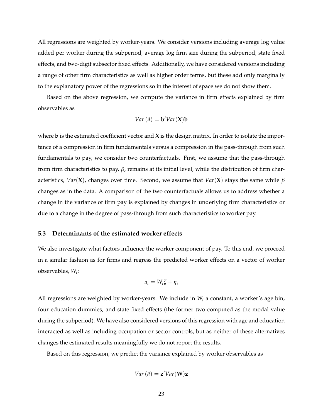All regressions are weighted by worker-years. We consider versions including average log value added per worker during the subperiod, average log firm size during the subperiod, state fixed effects, and two-digit subsector fixed effects. Additionally, we have considered versions including a range of other firm characteristics as well as higher order terms, but these add only marginally to the explanatory power of the regressions so in the interest of space we do not show them.

Based on the above regression, we compute the variance in firm effects explained by firm observables as

$$
Var\left(\hat{a}\right) = \mathbf{b}'Var(\mathbf{X})\mathbf{b}
$$

where **b** is the estimated coefficient vector and **X** is the design matrix. In order to isolate the importance of a compression in firm fundamentals versus a compression in the pass-through from such fundamentals to pay, we consider two counterfactuals. First, we assume that the pass-through from firm characteristics to pay, *β*, remains at its initial level, while the distribution of firm characteristics, *Var*( $X$ ), changes over time. Second, we assume that *Var*( $X$ ) stays the same while  $\beta$ changes as in the data. A comparison of the two counterfactuals allows us to address whether a change in the variance of firm pay is explained by changes in underlying firm characteristics or due to a change in the degree of pass-through from such characteristics to worker pay.

#### **5.3 Determinants of the estimated worker effects**

We also investigate what factors influence the worker component of pay. To this end, we proceed in a similar fashion as for firms and regress the predicted worker effects on a vector of worker observables, *W<sup>i</sup>* :

$$
a_i = W_i \zeta + \eta_i
$$

All regressions are weighted by worker-years. We include in *W<sup>i</sup>* a constant, a worker's age bin, four education dummies, and state fixed effects (the former two computed as the modal value during the subperiod). We have also considered versions of this regression with age and education interacted as well as including occupation or sector controls, but as neither of these alternatives changes the estimated results meaningfully we do not report the results.

Based on this regression, we predict the variance explained by worker observables as

$$
Var\left(\hat{a}\right) = \mathbf{z}'Var(\mathbf{W})\mathbf{z}
$$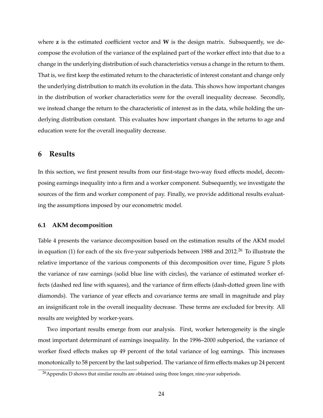where **z** is the estimated coefficient vector and **W** is the design matrix. Subsequently, we decompose the evolution of the variance of the explained part of the worker effect into that due to a change in the underlying distribution of such characteristics versus a change in the return to them. That is, we first keep the estimated return to the characteristic of interest constant and change only the underlying distribution to match its evolution in the data. This shows how important changes in the distribution of worker characteristics were for the overall inequality decrease. Secondly, we instead change the return to the characteristic of interest as in the data, while holding the underlying distribution constant. This evaluates how important changes in the returns to age and education were for the overall inequality decrease.

## **6 Results**

In this section, we first present results from our first-stage two-way fixed effects model, decomposing earnings inequality into a firm and a worker component. Subsequently, we investigate the sources of the firm and worker component of pay. Finally, we provide additional results evaluating the assumptions imposed by our econometric model.

#### **6.1 AKM decomposition**

Table 4 presents the variance decomposition based on the estimation results of the AKM model in equation (1) for each of the six five-year subperiods between 1988 and  $2012<sup>26</sup>$  To illustrate the relative importance of the various components of this decomposition over time, Figure 5 plots the variance of raw earnings (solid blue line with circles), the variance of estimated worker effects (dashed red line with squares), and the variance of firm effects (dash-dotted green line with diamonds). The variance of year effects and covariance terms are small in magnitude and play an insignificant role in the overall inequality decrease. These terms are excluded for brevity. All results are weighted by worker-years.

Two important results emerge from our analysis. First, worker heterogeneity is the single most important determinant of earnings inequality. In the 1996–2000 subperiod, the variance of worker fixed effects makes up 49 percent of the total variance of log earnings. This increases monotonically to 58 percent by the last subperiod. The variance of firm effects makes up 24 percent

 $^{26}\!$  Appendix D shows that similar results are obtained using three longer, nine-year subperiods.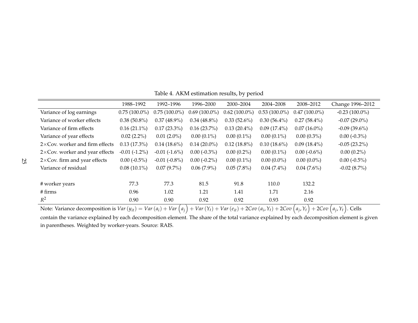|                                        | 1988-1992       | 1992-1996          | 1996–2000       | 2000–2004       | 2004-2008       | 2008-2012       | Change 1996-2012 |
|----------------------------------------|-----------------|--------------------|-----------------|-----------------|-----------------|-----------------|------------------|
| Variance of log earnings               | $0.75(100.0\%)$ | $0.75(100.0\%)$    | $0.69(100.0\%)$ | $0.62(100.0\%)$ | $0.53(100.0\%)$ | $0.47(100.0\%)$ | $-0.23(100.0\%)$ |
| Variance of worker effects             | $0.38(50.8\%)$  | $0.37(48.9\%)$     | $0.34(48.8\%)$  | $0.33(52.6\%)$  | $0.30(56.4\%)$  | $0.27(58.4\%)$  | $-0.07(29.0\%)$  |
| Variance of firm effects               | $0.16(21.1\%)$  | $0.17(23.3\%)$     | $0.16(23.7\%)$  | $0.13(20.4\%)$  | $0.09(17.4\%)$  | $0.07(16.0\%)$  | $-0.09(39.6\%)$  |
| Variance of year effects               | $0.02(2.2\%)$   | $0.01(2.0\%)$      | $0.00(0.1\%)$   | $0.00(0.1\%)$   | $0.00(0.1\%)$   | $0.00(0.3\%)$   | $0.00(-0.3\%)$   |
| $2\times$ Cov. worker and firm effects | $0.13(17.3\%)$  | $0.14(18.6\%)$     | $0.14(20.0\%)$  | $0.12(18.8\%)$  | $0.10(18.6\%)$  | $0.09(18.4\%)$  | $-0.05(23.2\%)$  |
| $2\times$ Cov. worker and year effects | $-0.01(-1.2\%)$ | $-0.01$ $(-1.6\%)$ | $0.00 (-0.3\%)$ | $0.00(0.2\%)$   | $0.00(0.1\%)$   | $0.00(-0.6\%)$  | $0.00(0.2\%)$    |
| $2\times$ Cov. firm and year effects   | $0.00(-0.5\%)$  | $-0.01$ $(-0.8\%)$ | $0.00(-0.2\%)$  | $0.00(0.1\%)$   | $0.00(0.0\%)$   | $0.00(0.0\%)$   | $0.00(-0.5\%)$   |
| Variance of residual                   | $0.08(10.1\%)$  | $0.07(9.7\%)$      | $0.06(7.9\%)$   | $0.05(7.8\%)$   | $0.04(7.4\%)$   | $0.04(7.6\%)$   | $-0.02(8.7\%)$   |
|                                        |                 |                    |                 |                 |                 |                 |                  |
| # worker years                         | 77.3            | 77.3               | 81.5            | 91.8            | 110.0           | 132.2           |                  |
| # firms                                | 0.96            | 1.02               | 1.21            | 1.41            | 1.71            | 2.16            |                  |
| $R^2$                                  | 0.90            | 0.90               | 0.92            | 0.92            | 0.93            | 0.92            |                  |

Table 4. AKM estimation results, by period

Note: Variance decomposition is  $Var(y_{it}) = Var(a_i) + Var(a_j) + Var(Y_t) + Var(e_{it}) + 2Cov(a_i, Y_t) + 2Cov(a_j, Y_t) + 2Cov(a_j, Y_t)$ . Cells

contain the variance explained by each decomposition element. The share of the total variance explained by each decomposition element is given in parentheses. Weighted by worker-years. Source: RAIS.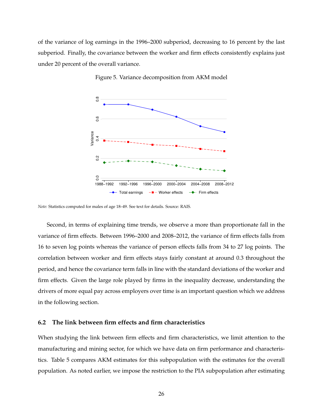of the variance of log earnings in the 1996–2000 subperiod, decreasing to 16 percent by the last subperiod. Finally, the covariance between the worker and firm effects consistently explains just under 20 percent of the overall variance.



Figure 5. Variance decomposition from AKM model

Second, in terms of explaining time trends, we observe a more than proportionate fall in the variance of firm effects. Between 1996–2000 and 2008–2012, the variance of firm effects falls from 16 to seven log points whereas the variance of person effects falls from 34 to 27 log points. The correlation between worker and firm effects stays fairly constant at around 0.3 throughout the period, and hence the covariance term falls in line with the standard deviations of the worker and firm effects. Given the large role played by firms in the inequality decrease, understanding the drivers of more equal pay across employers over time is an important question which we address in the following section.

### **6.2 The link between firm effects and firm characteristics**

When studying the link between firm effects and firm characteristics, we limit attention to the manufacturing and mining sector, for which we have data on firm performance and characteristics. Table 5 compares AKM estimates for this subpopulation with the estimates for the overall population. As noted earlier, we impose the restriction to the PIA subpopulation after estimating

*Note:* Statistics computed for males of age 18–49. See text for details. Source: RAIS.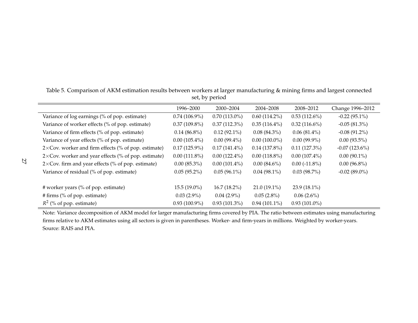|                                                              | 1996-2000       | 2000-2004       | 2004-2008       | 2008-2012       | Change 1996-2012 |
|--------------------------------------------------------------|-----------------|-----------------|-----------------|-----------------|------------------|
| Variance of log earnings (% of pop. estimate)                | $0.74(106.9\%)$ | $0.70(113.0\%)$ | $0.60(114.2\%)$ | $0.53(112.6\%)$ | $-0.22(95.1\%)$  |
| Variance of worker effects (% of pop. estimate)              | $0.37(109.8\%)$ | $0.37(112.3\%)$ | $0.35(116.4\%)$ | $0.32(116.6\%)$ | $-0.05(81.3\%)$  |
| Variance of firm effects (% of pop. estimate)                | $0.14(86.8\%)$  | $0.12(92.1\%)$  | $0.08(84.3\%)$  | $0.06(81.4\%)$  | $-0.08(91.2\%)$  |
| Variance of year effects (% of pop. estimate)                | $0.00(105.4\%)$ | $0.00(99.4\%)$  | $0.00(100.0\%)$ | $0.00(99.9\%)$  | $0.00(93.5\%)$   |
| $2 \times$ Cov. worker and firm effects (% of pop. estimate) | $0.17(125.9\%)$ | $0.17(141.4\%)$ | $0.14(137.8\%)$ | $0.11(127.3\%)$ | $-0.07(123.6\%)$ |
| $2 \times$ Cov. worker and year effects (% of pop. estimate) | $0.00(111.8\%)$ | $0.00(122.4\%)$ | $0.00(118.8\%)$ | $0.00(107.4\%)$ | $0.00(90.1\%)$   |
| $2 \times$ Cov. firm and year effects (% of pop. estimate)   | $0.00(85.3\%)$  | $0.00(101.4\%)$ | $0.00(84.6\%)$  | $0.00(-11.8\%)$ | $0.00(96.8\%)$   |
| Variance of residual (% of pop. estimate)                    | $0.05(95.2\%)$  | $0.05(96.1\%)$  | $0.04(98.1\%)$  | $0.03(98.7\%)$  | $-0.02$ (89.0%)  |
|                                                              |                 |                 |                 |                 |                  |
| # worker years (% of pop. estimate)                          | $15.5(19.0\%)$  | $16.7(18.2\%)$  | $21.0(19.1\%)$  | $23.9(18.1\%)$  |                  |
| # firms (% of pop. estimate)                                 | $0.03(2.9\%)$   | $0.04(2.9\%)$   | $0.05(2.8\%)$   | $0.06(2.6\%)$   |                  |
| $R^2$ (% of pop. estimate)                                   | $0.93(100.9\%)$ | $0.93(101.3\%)$ | $0.94(101.1\%)$ | $0.93(101.0\%)$ |                  |

Table 5. Comparison of AKM estimation results between workers at larger manufacturing & mining firms and largest connectedset, by period

 Note: Variance decomposition of AKM model for larger manufacturing firms covered by PIA. The ratio between estimates using manufacturingfirms relative to AKM estimates using all sectors is given in parentheses. Worker- and firm-years in millions. Weighted by worker-years. Source: RAIS and PIA.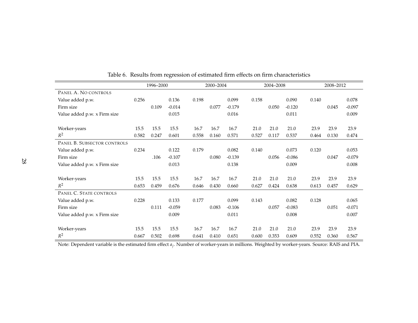|                              |       | 1996-2000 |          |       | 2000-2004 |          |       | 2004-2008 |          |       | 2008-2012 |          |
|------------------------------|-------|-----------|----------|-------|-----------|----------|-------|-----------|----------|-------|-----------|----------|
| PANEL A. NO CONTROLS         |       |           |          |       |           |          |       |           |          |       |           |          |
| Value added p.w.             | 0.256 |           | 0.136    | 0.198 |           | 0.099    | 0.158 |           | 0.090    | 0.140 |           | 0.078    |
| Firm size                    |       | 0.109     | $-0.014$ |       | 0.077     | $-0.179$ |       | 0.050     | $-0.120$ |       | 0.045     | $-0.097$ |
| Value added p.w. x Firm size |       |           | 0.015    |       |           | 0.016    |       |           | 0.011    |       |           | 0.009    |
|                              |       |           |          |       |           |          |       |           |          |       |           |          |
| Worker-years                 | 15.5  | 15.5      | 15.5     | 16.7  | 16.7      | 16.7     | 21.0  | 21.0      | 21.0     | 23.9  | 23.9      | 23.9     |
| $R^2$                        | 0.582 | 0.247     | 0.601    | 0.558 | 0.160     | 0.571    | 0.527 | 0.117     | 0.537    | 0.464 | 0.130     | 0.474    |
| PANEL B. SUBSECTOR CONTROLS  |       |           |          |       |           |          |       |           |          |       |           |          |
| Value added p.w.             | 0.234 |           | 0.122    | 0.179 |           | 0.082    | 0.140 |           | 0.073    | 0.120 |           | 0.053    |
| Firm size                    |       | .106      | $-0.107$ |       | 0.080     | $-0.139$ |       | 0.056     | $-0.086$ |       | 0.047     | $-0.079$ |
| Value added p.w. x Firm size |       |           | 0.013    |       |           | 0.138    |       |           | 0.009    |       |           | 0.008    |
|                              |       |           |          |       |           |          |       |           |          |       |           |          |
| Worker-years                 | 15.5  | 15.5      | 15.5     | 16.7  | 16.7      | 16.7     | 21.0  | 21.0      | 21.0     | 23.9  | 23.9      | 23.9     |
| $R^2$                        | 0.653 | 0.459     | 0.676    | 0.646 | 0.430     | 0.660    | 0.627 | 0.424     | 0.638    | 0.613 | 0.457     | 0.629    |
| PANEL C. STATE CONTROLS      |       |           |          |       |           |          |       |           |          |       |           |          |
| Value added p.w.             | 0.228 |           | 0.133    | 0.177 |           | 0.099    | 0.143 |           | 0.082    | 0.128 |           | 0.065    |
| Firm size                    |       | 0.111     | $-0.059$ |       | 0.083     | $-0.106$ |       | 0.057     | $-0.083$ |       | 0.051     | $-0.071$ |
| Value added p.w. x Firm size |       |           | 0.009    |       |           | 0.011    |       |           | 0.008    |       |           | 0.007    |
|                              |       |           |          |       |           |          |       |           |          |       |           |          |
| Worker-years                 | 15.5  | 15.5      | 15.5     | 16.7  | 16.7      | 16.7     | 21.0  | 21.0      | 21.0     | 23.9  | 23.9      | 23.9     |
| $R^2$                        | 0.667 | 0.502     | 0.698    | 0.641 | 0.410     | 0.651    | 0.600 | 0.353     | 0.609    | 0.552 | 0.360     | 0.567    |

Table 6. Results from regression of estimated firm effects on firm characteristics

Note: Dependent variable is the estimated firm effect *<sup>a</sup>j*. Number of worker-years in millions. Weighted by worker-years. Source: RAIS and PIA.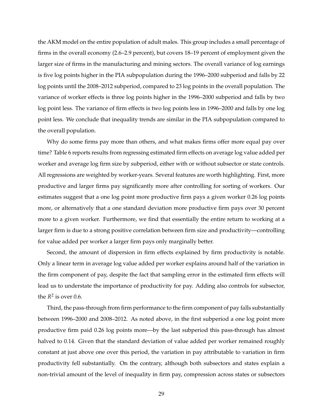the AKM model on the entire population of adult males. This group includes a small percentage of firms in the overall economy (2.6–2.9 percent), but covers 18–19 percent of employment given the larger size of firms in the manufacturing and mining sectors. The overall variance of log earnings is five log points higher in the PIA subpopulation during the 1996–2000 subperiod and falls by 22 log points until the 2008–2012 subperiod, compared to 23 log points in the overall population. The variance of worker effects is three log points higher in the 1996–2000 subperiod and falls by two log point less. The variance of firm effects is two log points less in 1996–2000 and falls by one log point less. We conclude that inequality trends are similar in the PIA subpopulation compared to the overall population.

Why do some firms pay more than others, and what makes firms offer more equal pay over time? Table 6 reports results from regressing estimated firm effects on average log value added per worker and average log firm size by subperiod, either with or without subsector or state controls. All regressions are weighted by worker-years. Several features are worth highlighting. First, more productive and larger firms pay significantly more after controlling for sorting of workers. Our estimates suggest that a one log point more productive firm pays a given worker 0.26 log points more, or alternatively that a one standard deviation more productive firm pays over 30 percent more to a given worker. Furthermore, we find that essentially the entire return to working at a larger firm is due to a strong positive correlation between firm size and productivity—controlling for value added per worker a larger firm pays only marginally better.

Second, the amount of dispersion in firm effects explained by firm productivity is notable. Only a linear term in average log value added per worker explains around half of the variation in the firm component of pay, despite the fact that sampling error in the estimated firm effects will lead us to understate the importance of productivity for pay. Adding also controls for subsector, the  $R^2$  is over 0.6.

Third, the pass-through from firm performance to the firm component of pay falls substantially between 1996–2000 and 2008–2012. As noted above, in the first subperiod a one log point more productive firm paid 0.26 log points more—by the last subperiod this pass-through has almost halved to 0.14. Given that the standard deviation of value added per worker remained roughly constant at just above one over this period, the variation in pay attributable to variation in firm productivity fell substantially. On the contrary, although both subsectors and states explain a non-trivial amount of the level of inequality in firm pay, compression across states or subsectors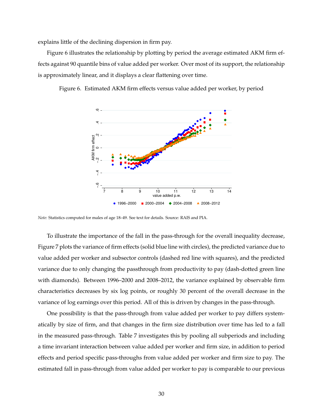explains little of the declining dispersion in firm pay.

Figure 6 illustrates the relationship by plotting by period the average estimated AKM firm effects against 90 quantile bins of value added per worker. Over most of its support, the relationship is approximately linear, and it displays a clear flattening over time.

Figure 6. Estimated AKM firm effects versus value added per worker, by period



*Note:* Statistics computed for males of age 18–49. See text for details. Source: RAIS and PIA.

To illustrate the importance of the fall in the pass-through for the overall inequality decrease, Figure 7 plots the variance of firm effects (solid blue line with circles), the predicted variance due to value added per worker and subsector controls (dashed red line with squares), and the predicted variance due to only changing the passthrough from productivity to pay (dash-dotted green line with diamonds). Between 1996–2000 and 2008–2012, the variance explained by observable firm characteristics decreases by six log points, or roughly 30 percent of the overall decrease in the variance of log earnings over this period. All of this is driven by changes in the pass-through.

One possibility is that the pass-through from value added per worker to pay differs systematically by size of firm, and that changes in the firm size distribution over time has led to a fall in the measured pass-through. Table 7 investigates this by pooling all subperiods and including a time invariant interaction between value added per worker and firm size, in addition to period effects and period specific pass-throughs from value added per worker and firm size to pay. The estimated fall in pass-through from value added per worker to pay is comparable to our previous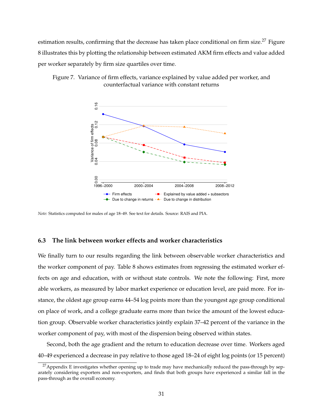estimation results, confirming that the decrease has taken place conditional on firm size.<sup>27</sup> Figure 8 illustrates this by plotting the relationship between estimated AKM firm effects and value added per worker separately by firm size quartiles over time.



Figure 7. Variance of firm effects, variance explained by value added per worker, and counterfactual variance with constant returns

*Note:* Statistics computed for males of age 18–49. See text for details. Source: RAIS and PIA.

#### **6.3 The link between worker effects and worker characteristics**

We finally turn to our results regarding the link between observable worker characteristics and the worker component of pay. Table 8 shows estimates from regressing the estimated worker effects on age and education, with or without state controls. We note the following: First, more able workers, as measured by labor market experience or education level, are paid more. For instance, the oldest age group earns 44–54 log points more than the youngest age group conditional on place of work, and a college graduate earns more than twice the amount of the lowest education group. Observable worker characteristics jointly explain 37–42 percent of the variance in the worker component of pay, with most of the dispersion being observed within states.

Second, both the age gradient and the return to education decrease over time. Workers aged 40–49 experienced a decrease in pay relative to those aged 18–24 of eight log points (or 15 percent)

 $27$ Appendix E investigates whether opening up to trade may have mechanically reduced the pass-through by separately considering exporters and non-exporters, and finds that both groups have experienced a similar fall in the pass-through as the overall economy.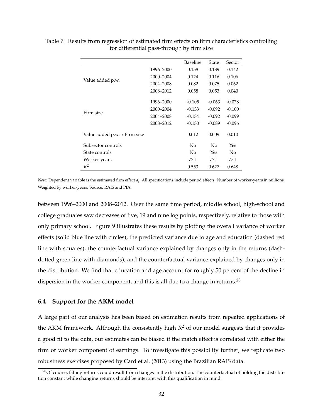|                              |           | <b>Baseline</b> | <b>State</b>   | Sector   |
|------------------------------|-----------|-----------------|----------------|----------|
|                              | 1996-2000 | 0.158           | 0.139          | 0.142    |
| Value added p.w.             | 2000-2004 | 0.124           | 0.116          | 0.106    |
|                              | 2004-2008 | 0.082           | 0.075          | 0.062    |
|                              | 2008-2012 | 0.058           | 0.053          | 0.040    |
|                              | 1996-2000 | $-0.105$        | $-0.063$       | $-0.078$ |
|                              | 2000-2004 | $-0.133$        | $-0.092$       | $-0.100$ |
| Firm size                    | 2004-2008 | $-0.134$        | $-0.092$       | $-0.099$ |
|                              | 2008-2012 | $-0.130$        | $-0.089$       | $-0.096$ |
| Value added p.w. x Firm size |           | 0.012           | 0.009          | 0.010    |
| Subsector controls           |           | No              | $\overline{N}$ | Yes      |
| State controls               |           | No              | Yes            | No       |
| Worker-years                 |           | 77.1            | 77.1           | 77.1     |
| $R^2$                        |           | 0.553           | 0.627          | 0.648    |

Table 7. Results from regression of estimated firm effects on firm characteristics controlling for differential pass-through by firm size

*Note:* Dependent variable is the estimated firm effect *a<sup>j</sup>* . All specifications include period effects. Number of worker-years in millions. Weighted by worker-years. Source: RAIS and PIA.

between 1996–2000 and 2008–2012. Over the same time period, middle school, high-school and college graduates saw decreases of five, 19 and nine log points, respectively, relative to those with only primary school. Figure 9 illustrates these results by plotting the overall variance of worker effects (solid blue line with circles), the predicted variance due to age and education (dashed red line with squares), the counterfactual variance explained by changes only in the returns (dashdotted green line with diamonds), and the counterfactual variance explained by changes only in the distribution. We find that education and age account for roughly 50 percent of the decline in dispersion in the worker component, and this is all due to a change in returns.<sup>28</sup>

#### **6.4 Support for the AKM model**

A large part of our analysis has been based on estimation results from repeated applications of the AKM framework. Although the consistently high *R* <sup>2</sup> of our model suggests that it provides a good fit to the data, our estimates can be biased if the match effect is correlated with either the firm or worker component of earnings. To investigate this possibility further, we replicate two robustness exercises proposed by Card et al. (2013) using the Brazilian RAIS data.

 $28$ Of course, falling returns could result from changes in the distribution. The counterfactual of holding the distribution constant while changing returns should be interpret with this qualification in mind.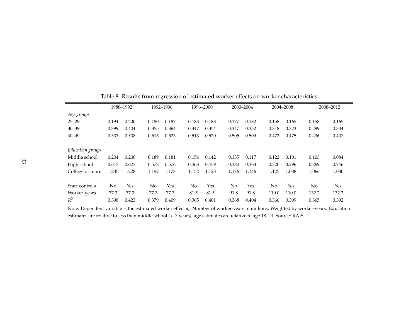|                  |       | 1988-1992 |       | 1992-1996 |       | 1996–2000 |       | 2000-2004 | 2004-2008 |       | 2008-2012 |       |
|------------------|-------|-----------|-------|-----------|-------|-----------|-------|-----------|-----------|-------|-----------|-------|
| Age groups       |       |           |       |           |       |           |       |           |           |       |           |       |
| $25 - 29$        | 0.194 | 0.200     | 0.180 | 0.187     | 0.183 | 0.188     | 0.177 | 0.182     | 0.158     | 0.165 | 0.158     | 0.165 |
| $30 - 39$        | 0.399 | 0.404     | 0.355 | 0.364     | 0.347 | 0.354     | 0.347 | 0.352     | 0.318     | 0.323 | 0.299     | 0.304 |
| $40 - 49$        | 0.533 | 0.538     | 0.515 | 0.523     | 0.513 | 0.520     | 0.505 | 0.509     | 0.472     | 0.475 | 0.436     | 0.437 |
|                  |       |           |       |           |       |           |       |           |           |       |           |       |
| Education groups |       |           |       |           |       |           |       |           |           |       |           |       |
| Middle school    | 0.204 | 0.200     | 0.189 | 0.181     | 0.154 | 0.142     | 0.135 | 0.117     | 0.122     | 0.101 | 0.103     | 0.084 |
| High school      | 0.617 | 0.623     | 0.572 | 0.576     | 0.463 | 0.459     | 0.380 | 0.363     | 0.320     | 0.296 | 0.269     | 0.246 |
| College or more  | 1.235 | 1.228     | 1.192 | 1.178     | 1.152 | 1.128     | 1.176 | 1.146     | 1.125     | 1.088 | 1.066     | 1.030 |
|                  |       |           |       |           |       |           |       |           |           |       |           |       |
| State controls   | No    | Yes       | No    | Yes       | No    | Yes       | No    | Yes       | No        | Yes   | No.       | Yes   |
| Worker-years     | 77.3  | 77.3      | 77.3  | 77.3      | 81.5  | 81.5      | 91.8  | 91.8      | 110.0     | 110.0 | 132.2     | 132.2 |
| $R^2$            | 0.398 | 0.423     | 0.379 | 0.409     | 0.365 | 0.401     | 0.368 | 0.404     | 0.366     | 0.399 | 0.365     | 0.392 |

Table 8. Results from regression of estimated worker effects on worker characteristics

 Note: Dependent variable is the estimated worker effect *<sup>a</sup>i*. Number of worker-years in millions. Weighted by worker-years. Educationestimates are relative to less than middle school (< <sup>7</sup> years), age estimates are relative to age 18–24. Source: RAIS.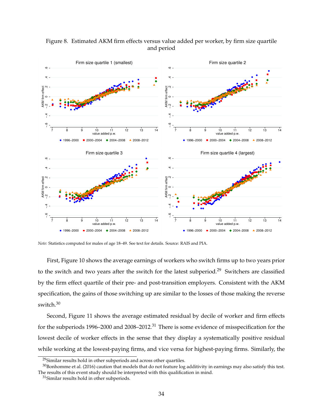

### Figure 8. Estimated AKM firm effects versus value added per worker, by firm size quartile and period

*Note:* Statistics computed for males of age 18–49. See text for details. Source: RAIS and PIA.

First, Figure 10 shows the average earnings of workers who switch firms up to two years prior to the switch and two years after the switch for the latest subperiod.<sup>29</sup> Switchers are classified by the firm effect quartile of their pre- and post-transition employers. Consistent with the AKM specification, the gains of those switching up are similar to the losses of those making the reverse switch.<sup>30</sup>

Second, Figure 11 shows the average estimated residual by decile of worker and firm effects for the subperiods 1996–2000 and 2008–2012.<sup>31</sup> There is some evidence of misspecification for the lowest decile of worker effects in the sense that they display a systematically positive residual while working at the lowest-paying firms, and vice versa for highest-paying firms. Similarly, the

<sup>&</sup>lt;sup>29</sup>Similar results hold in other subperiods and across other quartiles.

 $30$ Bonhomme et al. (2016) caution that models that do not feature log additivity in earnings may also satisfy this test. The results of this event study should be interpreted with this qualification in mind.

<sup>31</sup>Similar results hold in other subperiods.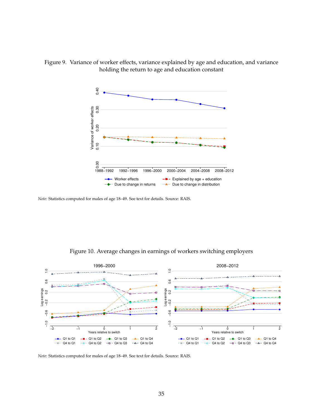



*Note:* Statistics computed for males of age 18–49. See text for details. Source: RAIS.



Figure 10. Average changes in earnings of workers switching employers

*Note:* Statistics computed for males of age 18–49. See text for details. Source: RAIS.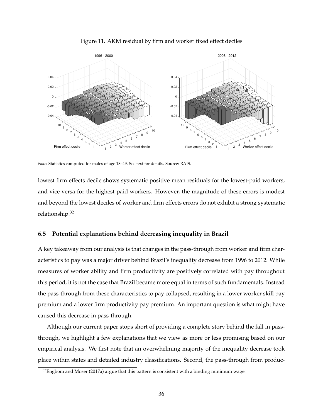

Figure 11. AKM residual by firm and worker fixed effect deciles

*Note:* Statistics computed for males of age 18–49. See text for details. Source: RAIS.

lowest firm effects decile shows systematic positive mean residuals for the lowest-paid workers, and vice versa for the highest-paid workers. However, the magnitude of these errors is modest and beyond the lowest deciles of worker and firm effects errors do not exhibit a strong systematic relationship.<sup>32</sup>

#### **6.5 Potential explanations behind decreasing inequality in Brazil**

A key takeaway from our analysis is that changes in the pass-through from worker and firm characteristics to pay was a major driver behind Brazil's inequality decrease from 1996 to 2012. While measures of worker ability and firm productivity are positively correlated with pay throughout this period, it is not the case that Brazil became more equal in terms of such fundamentals. Instead the pass-through from these characteristics to pay collapsed, resulting in a lower worker skill pay premium and a lower firm productivity pay premium. An important question is what might have caused this decrease in pass-through.

Although our current paper stops short of providing a complete story behind the fall in passthrough, we highlight a few explanations that we view as more or less promising based on our empirical analysis. We first note that an overwhelming majority of the inequality decrease took place within states and detailed industry classifications. Second, the pass-through from produc-

 $32$  Engbom and Moser (2017a) argue that this pattern is consistent with a binding minimum wage.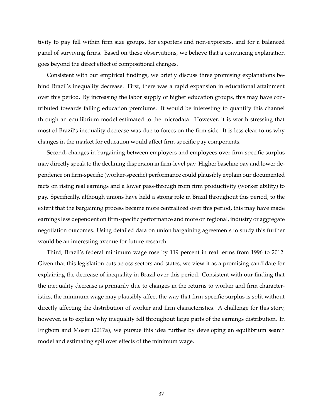tivity to pay fell within firm size groups, for exporters and non-exporters, and for a balanced panel of surviving firms. Based on these observations, we believe that a convincing explanation goes beyond the direct effect of compositional changes.

Consistent with our empirical findings, we briefly discuss three promising explanations behind Brazil's inequality decrease. First, there was a rapid expansion in educational attainment over this period. By increasing the labor supply of higher education groups, this may have contributed towards falling education premiums. It would be interesting to quantify this channel through an equilibrium model estimated to the microdata. However, it is worth stressing that most of Brazil's inequality decrease was due to forces on the firm side. It is less clear to us why changes in the market for education would affect firm-specific pay components.

Second, changes in bargaining between employers and employees over firm-specific surplus may directly speak to the declining dispersion in firm-level pay. Higher baseline pay and lower dependence on firm-specific (worker-specific) performance could plausibly explain our documented facts on rising real earnings and a lower pass-through from firm productivity (worker ability) to pay. Specifically, although unions have held a strong role in Brazil throughout this period, to the extent that the bargaining process became more centralized over this period, this may have made earnings less dependent on firm-specific performance and more on regional, industry or aggregate negotiation outcomes. Using detailed data on union bargaining agreements to study this further would be an interesting avenue for future research.

Third, Brazil's federal minimum wage rose by 119 percent in real terms from 1996 to 2012. Given that this legislation cuts across sectors and states, we view it as a promising candidate for explaining the decrease of inequality in Brazil over this period. Consistent with our finding that the inequality decrease is primarily due to changes in the returns to worker and firm characteristics, the minimum wage may plausibly affect the way that firm-specific surplus is split without directly affecting the distribution of worker and firm characteristics. A challenge for this story, however, is to explain why inequality fell throughout large parts of the earnings distribution. In Engbom and Moser (2017a), we pursue this idea further by developing an equilibrium search model and estimating spillover effects of the minimum wage.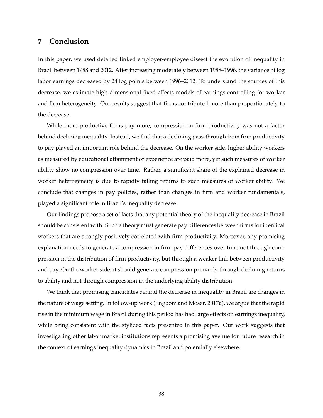## **7 Conclusion**

In this paper, we used detailed linked employer-employee dissect the evolution of inequality in Brazil between 1988 and 2012. After increasing moderately between 1988–1996, the variance of log labor earnings decreased by 28 log points between 1996–2012. To understand the sources of this decrease, we estimate high-dimensional fixed effects models of earnings controlling for worker and firm heterogeneity. Our results suggest that firms contributed more than proportionately to the decrease.

While more productive firms pay more, compression in firm productivity was not a factor behind declining inequality. Instead, we find that a declining pass-through from firm productivity to pay played an important role behind the decrease. On the worker side, higher ability workers as measured by educational attainment or experience are paid more, yet such measures of worker ability show no compression over time. Rather, a significant share of the explained decrease in worker heterogeneity is due to rapidly falling returns to such measures of worker ability. We conclude that changes in pay policies, rather than changes in firm and worker fundamentals, played a significant role in Brazil's inequality decrease.

Our findings propose a set of facts that any potential theory of the inequality decrease in Brazil should be consistent with. Such a theory must generate pay differences between firms for identical workers that are strongly positively correlated with firm productivity. Moreover, any promising explanation needs to generate a compression in firm pay differences over time not through compression in the distribution of firm productivity, but through a weaker link between productivity and pay. On the worker side, it should generate compression primarily through declining returns to ability and not through compression in the underlying ability distribution.

We think that promising candidates behind the decrease in inequality in Brazil are changes in the nature of wage setting. In follow-up work (Engbom and Moser, 2017a), we argue that the rapid rise in the minimum wage in Brazil during this period has had large effects on earnings inequality, while being consistent with the stylized facts presented in this paper. Our work suggests that investigating other labor market institutions represents a promising avenue for future research in the context of earnings inequality dynamics in Brazil and potentially elsewhere.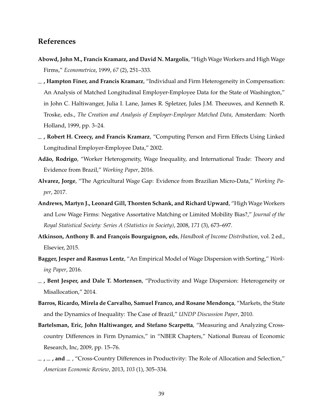# **References**

- **Abowd, John M., Francis Kramarz, and David N. Margolis**, "High Wage Workers and High Wage Firms," *Econometrica*, 1999, *67* (2), 251–333.
- **, Hampton Finer, and Francis Kramarz**, "Individual and Firm Heterogeneity in Compensation: An Analysis of Matched Longitudinal Employer-Employee Data for the State of Washington," in John C. Haltiwanger, Julia I. Lane, James R. Spletzer, Jules J.M. Theeuwes, and Kenneth R. Troske, eds., *The Creation and Analysis of Employer-Employee Matched Data*, Amsterdam: North Holland, 1999, pp. 3–24.
- **, Robert H. Creecy, and Francis Kramarz**, "Computing Person and Firm Effects Using Linked Longitudinal Employer-Employee Data," 2002.
- **Adão, Rodrigo**, "Worker Heterogeneity, Wage Inequality, and International Trade: Theory and Evidence from Brazil," *Working Paper*, 2016.
- **Alvarez, Jorge**, "The Agricultural Wage Gap: Evidence from Brazilian Micro-Data," *Working Paper*, 2017.
- **Andrews, Martyn J., Leonard Gill, Thorsten Schank, and Richard Upward**, "High Wage Workers and Low Wage Firms: Negative Assortative Matching or Limited Mobility Bias?," *Journal of the Royal Statistical Society: Series A (Statistics in Society)*, 2008, *171* (3), 673–697.
- **Atkinson, Anthony B. and François Bourguignon, eds**, *Handbook of Income Distribution*, vol. 2 ed., Elsevier, 2015.
- **Bagger, Jesper and Rasmus Lentz**, "An Empirical Model of Wage Dispersion with Sorting," *Working Paper*, 2016.
- **, Bent Jesper, and Dale T. Mortensen**, "Productivity and Wage Dispersion: Heterogeneity or Misallocation," 2014.
- **Barros, Ricardo, Mirela de Carvalho, Samuel Franco, and Rosane Mendonça**, "Markets, the State and the Dynamics of Inequality: The Case of Brazil," *UNDP Discussion Paper*, 2010.
- **Bartelsman, Eric, John Haltiwanger, and Stefano Scarpetta**, "Measuring and Analyzing Crosscountry Differences in Firm Dynamics," in "NBER Chapters," National Bureau of Economic Research, Inc, 2009, pp. 15–76.
- **, , and** , "Cross-Country Differences in Productivity: The Role of Allocation and Selection," *American Economic Review*, 2013, *103* (1), 305–334.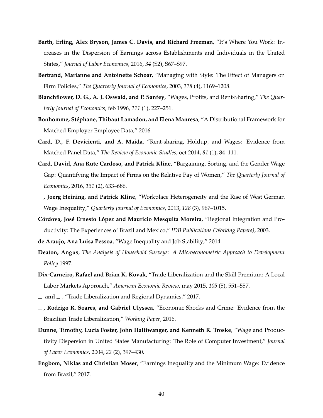- **Barth, Erling, Alex Bryson, James C. Davis, and Richard Freeman**, "It's Where You Work: Increases in the Dispersion of Earnings across Establishments and Individuals in the United States," *Journal of Labor Economics*, 2016, *34* (S2), S67–S97.
- **Bertrand, Marianne and Antoinette Schoar**, "Managing with Style: The Effect of Managers on Firm Policies," *The Quarterly Journal of Economics*, 2003, *118* (4), 1169–1208.
- **Blanchflower, D. G., A. J. Oswald, and P. Sanfey**, "Wages, Profits, and Rent-Sharing," *The Quarterly Journal of Economics*, feb 1996, *111* (1), 227–251.
- **Bonhomme, Stéphane, Thibaut Lamadon, and Elena Manresa**, "A Distributional Framework for Matched Employer Employee Data," 2016.
- **Card, D., F. Devicienti, and A. Maida**, "Rent-sharing, Holdup, and Wages: Evidence from Matched Panel Data," *The Review of Economic Studies*, oct 2014, *81* (1), 84–111.
- **Card, David, Ana Rute Cardoso, and Patrick Kline**, "Bargaining, Sorting, and the Gender Wage Gap: Quantifying the Impact of Firms on the Relative Pay of Women," *The Quarterly Journal of Economics*, 2016, *131* (2), 633–686.
- **, Joerg Heining, and Patrick Kline**, "Workplace Heterogeneity and the Rise of West German Wage Inequality," *Quarterly Journal of Economics*, 2013, *128* (3), 967–1015.
- **Córdova, José Ernesto López and Mauricio Mesquita Moreira**, "Regional Integration and Productivity: The Experiences of Brazil and Mexico," *IDB Publications (Working Papers)*, 2003.
- **de Araujo, Ana Luisa Pessoa**, "Wage Inequality and Job Stability," 2014.
- **Deaton, Angus**, *The Analysis of Household Surveys: A Microeconometric Approach to Development Policy* 1997.
- **Dix-Carneiro, Rafael and Brian K. Kovak**, "Trade Liberalization and the Skill Premium: A Local Labor Markets Approach," *American Economic Review*, may 2015, *105* (5), 551–557.
- $\mu$  and  $\mu$ , "Trade Liberalization and Regional Dynamics," 2017.
- **, Rodrigo R. Soares, and Gabriel Ulyssea**, "Economic Shocks and Crime: Evidence from the Brazilian Trade Liberalization," *Working Paper*, 2016.
- **Dunne, Timothy, Lucia Foster, John Haltiwanger, and Kenneth R. Troske**, "Wage and Productivity Dispersion in United States Manufacturing: The Role of Computer Investment," *Journal of Labor Economics*, 2004, *22* (2), 397–430.
- **Engbom, Niklas and Christian Moser**, "Earnings Inequality and the Minimum Wage: Evidence from Brazil," 2017.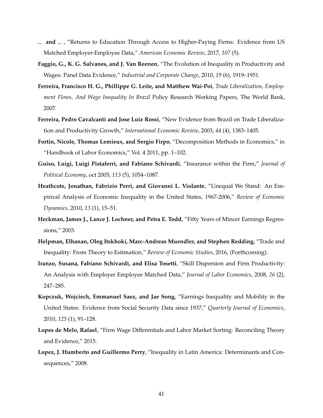- $\Box$  **and**  $\Box$ , "Returns to Education Through Access to Higher-Paying Firms: Evidence from US Matched Employer-Employee Data," *American Economic Review*, 2017, *107* (5).
- **Faggio, G., K. G. Salvanes, and J. Van Reenen**, "The Evolution of Inequality in Productivity and Wages: Panel Data Evidence," *Industrial and Corporate Change*, 2010, *19* (6), 1919–1951.
- **Ferreira, Francisco H. G., Phillippe G. Leite, and Matthew Wai-Poi**, *Trade Liberalization, Employment Flows, And Wage Inequality In Brazil* Policy Research Working Papers, The World Bank, 2007.
- **Ferreira, Pedro Cavalcanti and Jose Luiz Rossi**, "New Evidence from Brazil on Trade Liberalization and Productivity Growth," *International Economic Review*, 2003, *44* (4), 1383–1405.
- **Fortin, Nicole, Thomas Lemieux, and Sergio Firpo**, "Decomposition Methods in Economics," in "Handbook of Labor Economics," Vol. 4 2011, pp. 1–102.
- **Guiso, Luigi, Luigi Pistaferri, and Fabiano Schivardi**, "Insurance within the Firm," *Journal of Political Economy*, oct 2005, *113* (5), 1054–1087.
- **Heathcote, Jonathan, Fabrizio Perri, and Giovanni L. Violante**, "Unequal We Stand: An Empirical Analysis of Economic Inequality in the United States, 1967-2006," *Review of Economic Dynamics*, 2010, *13* (1), 15–51.
- **Heckman, James J., Lance J. Lochner, and Petra E. Todd**, "Fifty Years of Mincer Earnings Regressions," 2003.
- **Helpman, Elhanan, Oleg Itskhoki, Marc-Andreas Muendler, and Stephen Redding**, "Trade and Inequality: From Theory to Estimation," *Review of Economic Studies*, 2016, (Forthcoming).
- **Iranzo, Susana, Fabiano Schivardi, and Elisa Tosetti**, "Skill Dispersion and Firm Productivity: An Analysis with Employer Employee Matched Data," *Journal of Labor Economics*, 2008, *26* (2), 247–285.
- **Kopczuk, Wojciech, Emmanuel Saez, and Jae Song**, "Earnings Inequality and Mobility in the United States: Evidence from Social Security Data since 1937," *Quarterly Journal of Economics*, 2010, *125* (1), 91–128.
- **Lopes de Melo, Rafael**, "Firm Wage Differentials and Labor Market Sorting: Reconciling Theory and Evidence," 2015.
- **Lopez, J. Humberto and Guillermo Perry**, "Inequality in Latin America: Determinants and Consequences," 2008.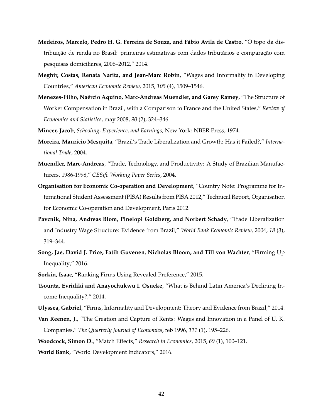- **Medeiros, Marcelo, Pedro H. G. Ferreira de Souza, and Fábio Avila de Castro**, "O topo da distribuição de renda no Brasil: primeiras estimativas com dados tributários e comparação com pesquisas domiciliares, 2006–2012," 2014.
- **Meghir, Costas, Renata Narita, and Jean-Marc Robin**, "Wages and Informality in Developing Countries," *American Economic Review*, 2015, *105* (4), 1509–1546.
- **Menezes-Filho, Naércio Aquino, Marc-Andreas Muendler, and Garey Ramey**, "The Structure of Worker Compensation in Brazil, with a Comparison to France and the United States," *Review of Economics and Statistics*, may 2008, *90* (2), 324–346.
- **Mincer, Jacob**, *Schooling, Experience, and Earnings*, New York: NBER Press, 1974.
- **Moreira, Mauricio Mesquita**, "Brazil's Trade Liberalization and Growth: Has it Failed?," *International Trade*, 2004.
- **Muendler, Marc-Andreas**, "Trade, Technology, and Productivity: A Study of Brazilian Manufacturers, 1986-1998," *CESifo Working Paper Series*, 2004.
- **Organisation for Economic Co-operation and Development**, "Country Note: Programme for International Student Assessment (PISA) Results from PISA 2012," Technical Report, Organisation for Economic Co-operation and Development, Paris 2012.
- **Pavcnik, Nina, Andreas Blom, Pinelopi Goldberg, and Norbert Schady**, "Trade Liberalization and Industry Wage Structure: Evidence from Brazil," *World Bank Economic Review*, 2004, *18* (3), 319–344.
- **Song, Jae, David J. Price, Fatih Guvenen, Nicholas Bloom, and Till von Wachter**, "Firming Up Inequality," 2016.
- **Sorkin, Isaac**, "Ranking Firms Using Revealed Preference," 2015.
- **Tsounta, Evridiki and Anayochukwu I. Osueke**, "What is Behind Latin America's Declining Income Inequality?," 2014.
- **Ulyssea, Gabriel**, "Firms, Informality and Development: Theory and Evidence from Brazil," 2014.
- **Van Reenen, J.**, "The Creation and Capture of Rents: Wages and Innovation in a Panel of U. K. Companies," *The Quarterly Journal of Economics*, feb 1996, *111* (1), 195–226.
- **Woodcock, Simon D.**, "Match Effects," *Research in Economics*, 2015, *69* (1), 100–121.
- **World Bank**, "World Development Indicators," 2016.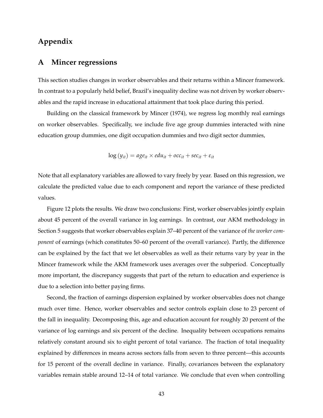# **Appendix**

## **A Mincer regressions**

This section studies changes in worker observables and their returns within a Mincer framework. In contrast to a popularly held belief, Brazil's inequality decline was not driven by worker observables and the rapid increase in educational attainment that took place during this period.

Building on the classical framework by Mincer (1974), we regress log monthly real earnings on worker observables. Specifically, we include five age group dummies interacted with nine education group dummies, one digit occupation dummies and two digit sector dummies,

$$
\log(y_{it}) = age_{it} \times edu_{it} + occ_{it} + sec_{it} + \varepsilon_{it}
$$

Note that all explanatory variables are allowed to vary freely by year. Based on this regression, we calculate the predicted value due to each component and report the variance of these predicted values.

Figure 12 plots the results. We draw two conclusions: First, worker observables jointly explain about 45 percent of the overall variance in log earnings. In contrast, our AKM methodology in Section 5 suggests that worker observables explain 37–40 percent of the variance of *the worker component* of earnings (which constitutes 50–60 percent of the overall variance). Partly, the difference can be explained by the fact that we let observables as well as their returns vary by year in the Mincer framework while the AKM framework uses averages over the subperiod. Conceptually more important, the discrepancy suggests that part of the return to education and experience is due to a selection into better paying firms.

Second, the fraction of earnings dispersion explained by worker observables does not change much over time. Hence, worker observables and sector controls explain close to 23 percent of the fall in inequality. Decomposing this, age and education account for roughly 20 percent of the variance of log earnings and six percent of the decline. Inequality between occupations remains relatively constant around six to eight percent of total variance. The fraction of total inequality explained by differences in means across sectors falls from seven to three percent—this accounts for 15 percent of the overall decline in variance. Finally, covariances between the explanatory variables remain stable around 12–14 of total variance. We conclude that even when controlling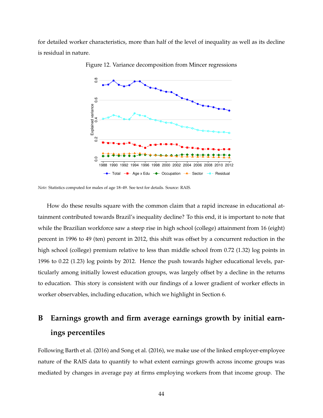for detailed worker characteristics, more than half of the level of inequality as well as its decline is residual in nature.



Figure 12. Variance decomposition from Mincer regressions

*Note:* Statistics computed for males of age 18–49. See text for details. Source: RAIS.

How do these results square with the common claim that a rapid increase in educational attainment contributed towards Brazil's inequality decline? To this end, it is important to note that while the Brazilian workforce saw a steep rise in high school (college) attainment from 16 (eight) percent in 1996 to 49 (ten) percent in 2012, this shift was offset by a concurrent reduction in the high school (college) premium relative to less than middle school from 0.72 (1.32) log points in 1996 to 0.22 (1.23) log points by 2012. Hence the push towards higher educational levels, particularly among initially lowest education groups, was largely offset by a decline in the returns to education. This story is consistent with our findings of a lower gradient of worker effects in worker observables, including education, which we highlight in Section 6.

# **B Earnings growth and firm average earnings growth by initial earnings percentiles**

Following Barth et al. (2016) and Song et al. (2016), we make use of the linked employer-employee nature of the RAIS data to quantify to what extent earnings growth across income groups was mediated by changes in average pay at firms employing workers from that income group. The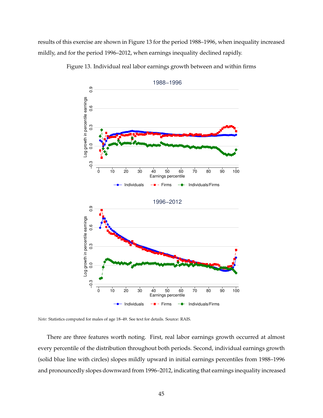results of this exercise are shown in Figure 13 for the period 1988–1996, when inequality increased mildly, and for the period 1996–2012, when earnings inequality declined rapidly.



Figure 13. Individual real labor earnings growth between and within firms

*Note:* Statistics computed for males of age 18–49. See text for details. Source: RAIS.

There are three features worth noting. First, real labor earnings growth occurred at almost every percentile of the distribution throughout both periods. Second, individual earnings growth (solid blue line with circles) slopes mildly upward in initial earnings percentiles from 1988–1996 and pronouncedly slopes downward from 1996–2012, indicating that earnings inequality increased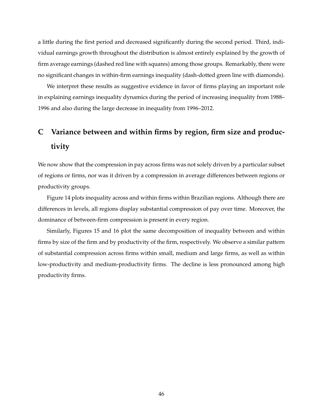a little during the first period and decreased significantly during the second period. Third, individual earnings growth throughout the distribution is almost entirely explained by the growth of firm average earnings (dashed red line with squares) among those groups. Remarkably, there were no significant changes in within-firm earnings inequality (dash-dotted green line with diamonds).

We interpret these results as suggestive evidence in favor of firms playing an important role in explaining earnings inequality dynamics during the period of increasing inequality from 1988– 1996 and also during the large decrease in inequality from 1996–2012.

# **C Variance between and within firms by region, firm size and productivity**

We now show that the compression in pay across firms was not solely driven by a particular subset of regions or firms, nor was it driven by a compression in average differences between regions or productivity groups.

Figure 14 plots inequality across and within firms within Brazilian regions. Although there are differences in levels, all regions display substantial compression of pay over time. Moreover, the dominance of between-firm compression is present in every region.

Similarly, Figures 15 and 16 plot the same decomposition of inequality between and within firms by size of the firm and by productivity of the firm, respectively. We observe a similar pattern of substantial compression across firms within small, medium and large firms, as well as within low-productivity and medium-productivity firms. The decline is less pronounced among high productivity firms.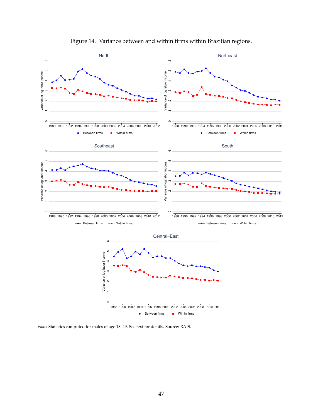

Figure 14. Variance between and within firms within Brazilian regions.

*Note:* Statistics computed for males of age 18–49. See text for details. Source: RAIS.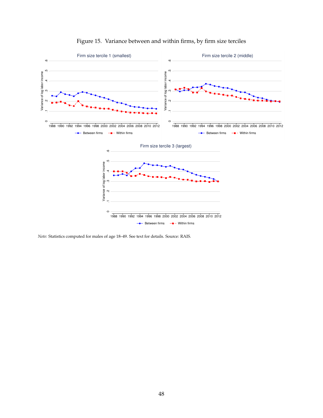

Figure 15. Variance between and within firms, by firm size terciles

*Note:* Statistics computed for males of age 18–49. See text for details. Source: RAIS.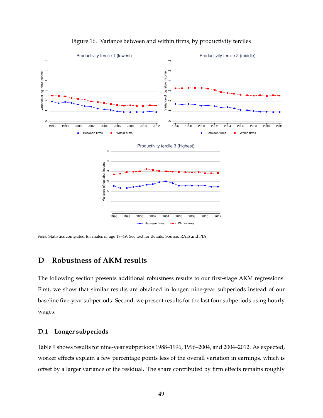

Figure 16. Variance between and within firms, by productivity terciles

*Note:* Statistics computed for males of age 18–49. See text for details. Source: RAIS and PIA.

## **D Robustness of AKM results**

The following section presents additional robustness results to our first-stage AKM regressions. First, we show that similar results are obtained in longer, nine-year subperiods instead of our baseline five-year subperiods. Second, we present results for the last four subperiods using hourly wages.

#### **D.1 Longer subperiods**

Table 9 shows results for nine-year subperiods 1988–1996, 1996–2004, and 2004–2012. As expected, worker effects explain a few percentage points less of the overall variation in earnings, which is offset by a larger variance of the residual. The share contributed by firm effects remains roughly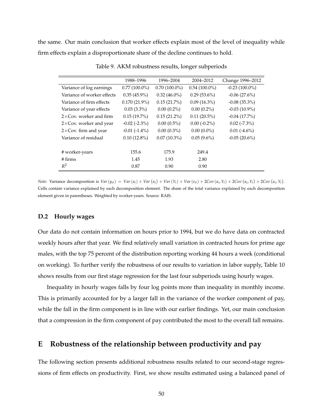the same. Our main conclusion that worker effects explain most of the level of inequality while firm effects explain a disproportionate share of the decline continues to hold.

|                                | 1988-1996            | 1996-2004       | 2004-2012       | Change 1996-2012 |
|--------------------------------|----------------------|-----------------|-----------------|------------------|
| Variance of log earnings       | $0.77(100.0\%)$      | $0.70(100.0\%)$ | $0.54(100.0\%)$ | $-0.23(100.0\%)$ |
| Variance of worker effects     | $0.35(45.9\%)$       | $0.32(46.0\%)$  | $0.29(53.6\%)$  | $-0.06(27.6%)$   |
| Variance of firm effects       | $0.170(21.9\%)$      | 0.15(21.7%)     | $0.09(16.3\%)$  | $-0.08$ (35.3%)  |
| Variance of year effects       | $0.03(3.3\%)$        | $0.00(0.2\%)$   | $0.00(0.2\%)$   | $-0.03(10.9\%)$  |
| $2\times$ Cov. worker and firm | $0.15(19.7\%)$       | $0.15(21.2\%)$  | $0.11(20.5\%)$  | $-0.04(17.7\%)$  |
| $2\times$ Cov. worker and year | $-0.02$ ( $-2.3\%$ ) | $0.00(0.5\%)$   | $0.00(-0.2\%)$  | $0.02$ (-7.3%)   |
| $2\times$ Cov. firm and year   | $-0.01$ $(-1.4\%)$   | $0.00(0.3\%)$   | $0.00(0.0\%)$   | $0.01(-4.6%)$    |
| Variance of residual           | $0.10(12.8\%)$       | $0.07(10.3\%)$  | $0.05(9.6\%)$   | $-0.05(20.6\%)$  |
|                                |                      |                 |                 |                  |
| # worker-years                 | 155.6                | 175.9           | 249.4           |                  |
| # firms                        | 1.45                 | 1.93            | 2.80            |                  |
| $R^2$                          | 0.87                 | 0.90            | 0.90            |                  |

Table 9. AKM robustness results, longer subperiods

Note: Variance decomposition is  $Var(y_{it}) = Var(a_i) + Var(a_j) + Var(Y_t) + Var(e_{it}) + 2Cov(a_i, Y_t) + 2Cov(a_j, Y_t) + 2Cov(a_j, Y_t)$ . Cells contain variance explained by each decomposition element. The share of the total variance explained by each decomposition element given in parentheses. Weighted by worker-years. Source: RAIS.

#### **D.2 Hourly wages**

Our data do not contain information on hours prior to 1994, but we do have data on contracted weekly hours after that year. We find relatively small variation in contracted hours for prime age males, with the top 75 percent of the distribution reporting working 44 hours a week (conditional on working). To further verify the robustness of our results to variation in labor supply, Table 10 shows results from our first stage regression for the last four subperiods using hourly wages.

Inequality in hourly wages falls by four log points more than inequality in monthly income. This is primarily accounted for by a larger fall in the variance of the worker component of pay, while the fall in the firm component is in line with our earlier findings. Yet, our main conclusion that a compression in the firm component of pay contributed the most to the overall fall remains.

## **E Robustness of the relationship between productivity and pay**

The following section presents additional robustness results related to our second-stage regressions of firm effects on productivity. First, we show results estimated using a balanced panel of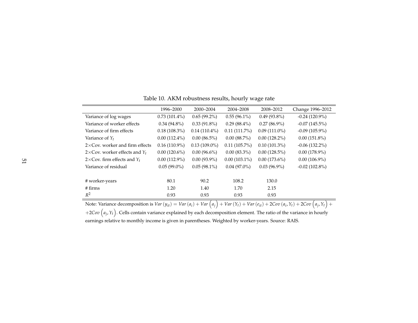|                                         | 1996-2000       | 2000-2004       | 2004-2008       | 2008-2012       | Change 1996-2012 |
|-----------------------------------------|-----------------|-----------------|-----------------|-----------------|------------------|
| Variance of log wages                   | $0.73(101.4\%)$ | $0.65(99.2\%)$  | $0.55(96.1\%)$  | $0.49(93.8\%)$  | $-0.24(120.9\%)$ |
| Variance of worker effects              | $0.34(94.8\%)$  | $0.33(91.8\%)$  | $0.29(88.4\%)$  | $0.27(86.9\%)$  | $-0.07(145.5%)$  |
| Variance of firm effects                | $0.18(108.3\%)$ | $0.14(110.4\%)$ | $0.11(111.7\%)$ | $0.09(111.0\%)$ | $-0.09(105.9\%)$ |
| Variance of $Y_t$                       | $0.00(112.4\%)$ | $0.00(86.5\%)$  | $0.00(88.7\%)$  | $0.00(128.2\%)$ | $0.00(151.8\%)$  |
| $2\times$ Cov. worker and firm effects  | $0.16(110.9\%)$ | $0.13(109.0\%)$ | $0.11(105.7\%)$ | $0.10(101.3\%)$ | $-0.06$ (132.2%) |
| $2\times$ Cov. worker effects and $Y_t$ | $0.00(120.6\%)$ | $0.00(96.6\%)$  | $0.00(83.3\%)$  | $0.00(128.5\%)$ | $0.00(178.9\%)$  |
| 2×Cov. firm effects and $Y_t$           | $0.00(112.9\%)$ | $0.00(93.9\%)$  | $0.00(103.1\%)$ | $0.00(173.6\%)$ | $0.00(106.9\%)$  |
| Variance of residual                    | $0.05(99.0\%)$  | $0.05(98.1\%)$  | $0.04(97.0\%)$  | $0.03(96.9\%)$  | $-0.02(102.8\%)$ |
|                                         |                 |                 |                 |                 |                  |
| # worker-years                          | 80.1            | 90.2            | 108.2           | 130.0           |                  |
| # firms                                 | 1.20            | 1.40            | 1.70            | 2.15            |                  |
| $R^2$                                   | 0.93            | 0.93            | 0.93            | 0.93            |                  |

Table 10. AKM robustness results, hourly wage rate

Note: Variance decomposition is  $Var(y_{it}) = Var(a_i) + Var(a_j) + Var(Y_t) + Var(e_{it}) + 2Cov(a_i, Y_t) + 2Cov(a_j, Y_t) + 2Cov(a_i, Y_t)$  $+2Cov(a_j,Y_t)$ . Cells contain variance explained by each decomposition element. The ratio of the variance in hourly

earnings relative to monthly income is given in parentheses. Weighted by worker-years. Source: RAIS.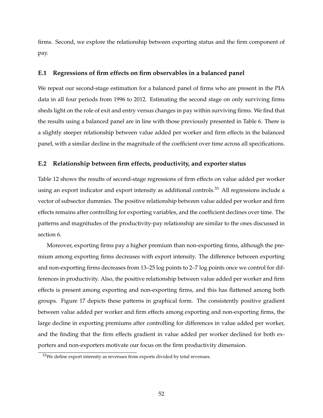firms. Second, we explore the relationship between exporting status and the firm component of pay.

#### **E.1 Regressions of firm effects on firm observables in a balanced panel**

We repeat our second-stage estimation for a balanced panel of firms who are present in the PIA data in all four periods from 1996 to 2012. Estimating the second stage on only surviving firms sheds light on the role of exit and entry versus changes in pay within surviving firms. We find that the results using a balanced panel are in line with those previously presented in Table 6. There is a slightly steeper relationship between value added per worker and firm effects in the balanced panel, with a similar decline in the magnitude of the coefficient over time across all specifications.

#### **E.2 Relationship between firm effects, productivity, and exporter status**

Table 12 shows the results of second-stage regressions of firm effects on value added per worker using an export indicator and export intensity as additional controls.<sup>33</sup> All regressions include a vector of subsector dummies. The positive relationship between value added per worker and firm effects remains after controlling for exporting variables, and the coefficient declines over time. The patterns and magnitudes of the productivity-pay relationship are similar to the ones discussed in section 6.

Moreover, exporting firms pay a higher premium than non-exporting firms, although the premium among exporting firms decreases with export intensity. The difference between exporting and non-exporting firms decreases from 13–25 log points to 2–7 log points once we control for differences in productivity. Also, the positive relationship between value added per worker and firm effects is present among exporting and non-exporting firms, and this has flattened among both groups. Figure 17 depicts these patterns in graphical form. The consistently positive gradient between value added per worker and firm effects among exporting and non-exporting firms, the large decline in exporting premiums after controlling for differences in value added per worker, and the finding that the firm effects gradient in value added per worker declined for both exporters and non-exporters motivate our focus on the firm productivity dimension.

 $33$ We define export intensity as revenues from exports divided by total revenues.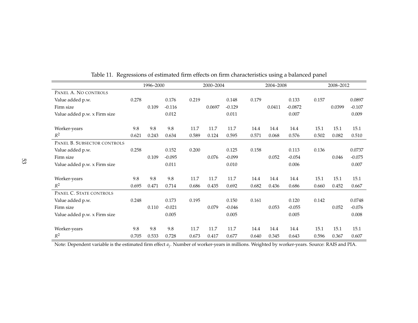|                              |       | 1996-2000 |          |       | 2000-2004 |          |       | 2004-2008 |           |       | 2008-2012 |          |
|------------------------------|-------|-----------|----------|-------|-----------|----------|-------|-----------|-----------|-------|-----------|----------|
| PANEL A. NO CONTROLS         |       |           |          |       |           |          |       |           |           |       |           |          |
| Value added p.w.             | 0.278 |           | 0.176    | 0.219 |           | 0.148    | 0.179 |           | 0.133     | 0.157 |           | 0.0897   |
| Firm size                    |       | 0.109     | $-0.116$ |       | 0.0697    | $-0.129$ |       | 0.0411    | $-0.0872$ |       | 0.0399    | $-0.107$ |
| Value added p.w. x Firm size |       |           | 0.012    |       |           | 0.011    |       |           | 0.007     |       |           | 0.009    |
|                              |       |           |          |       |           |          |       |           |           |       |           |          |
| Worker-years                 | 9.8   | 9.8       | 9.8      | 11.7  | 11.7      | 11.7     | 14.4  | 14.4      | 14.4      | 15.1  | 15.1      | 15.1     |
| $R^2$                        | 0.621 | 0.243     | 0.634    | 0.589 | 0.124     | 0.595    | 0.571 | 0.068     | 0.576     | 0.502 | 0.082     | 0.510    |
| PANEL B. SUBSECTOR CONTROLS  |       |           |          |       |           |          |       |           |           |       |           |          |
| Value added p.w.             | 0.258 |           | 0.152    | 0.200 |           | 0.125    | 0.158 |           | 0.113     | 0.136 |           | 0.0737   |
| Firm size                    |       | 0.109     | $-0.095$ |       | 0.076     | $-0.099$ |       | 0.052     | $-0.054$  |       | 0.046     | $-0.075$ |
| Value added p.w. x Firm size |       |           | 0.011    |       |           | 0.010    |       |           | 0.006     |       |           | 0.007    |
|                              |       |           |          |       |           |          |       |           |           |       |           |          |
| Worker-years                 | 9.8   | 9.8       | 9.8      | 11.7  | 11.7      | 11.7     | 14.4  | 14.4      | 14.4      | 15.1  | 15.1      | 15.1     |
| $R^2$                        | 0.695 | 0.471     | 0.714    | 0.686 | 0.435     | 0.692    | 0.682 | 0.436     | 0.686     | 0.660 | 0.452     | 0.667    |
| PANEL C. STATE CONTROLS      |       |           |          |       |           |          |       |           |           |       |           |          |
| Value added p.w.             | 0.248 |           | 0.173    | 0.195 |           | 0.150    | 0.161 |           | 0.120     | 0.142 |           | 0.0748   |
| Firm size                    |       | 0.110     | $-0.021$ |       | 0.079     | $-0.046$ |       | 0.053     | $-0.055$  |       | 0.052     | $-0.076$ |
| Value added p.w. x Firm size |       |           | 0.005    |       |           | 0.005    |       |           | 0.005     |       |           | 0.008    |
|                              |       |           |          |       |           |          |       |           |           |       |           |          |
| Worker-years                 | 9.8   | 9.8       | 9.8      | 11.7  | 11.7      | 11.7     | 14.4  | 14.4      | 14.4      | 15.1  | 15.1      | 15.1     |
| $R^2$                        | 0.705 | 0.533     | 0.728    | 0.673 | 0.417     | 0.677    | 0.640 | 0.345     | 0.643     | 0.596 | 0.367     | 0.607    |

Table 11. Regressions of estimated firm effects on firm characteristics using <sup>a</sup> balanced panel

Note: Dependent variable is the estimated firm effect *<sup>a</sup>j*. Number of worker-years in millions. Weighted by worker-years. Source: RAIS and PIA.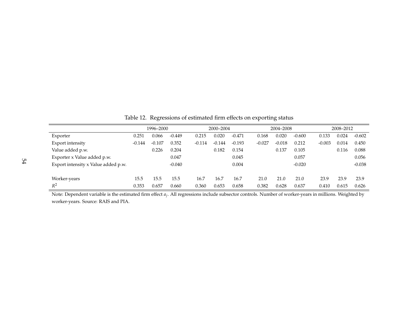Table 12. Regressions of estimated firm effects on exporting status

|                                     |          | 1996-2000 |          |          | 2000–2004 |          |          | 2004–2008 |          |          | 2008-2012 |          |  |
|-------------------------------------|----------|-----------|----------|----------|-----------|----------|----------|-----------|----------|----------|-----------|----------|--|
| Exporter                            | 0.251    | 0.066     | $-0.449$ | 0.215    | 0.020     | $-0.471$ | 0.168    | 0.020     | $-0.600$ | 0.133    | 0.024     | $-0.602$ |  |
| Export intensity                    | $-0.144$ | $-0.107$  | 0.352    | $-0.114$ | $-0.144$  | $-0.193$ | $-0.027$ | $-0.018$  | 0.212    | $-0.003$ | 0.014     | 0.450    |  |
| Value added p.w.                    |          | 0.226     | 0.204    |          | 0.182     | 0.154    |          | 0.137     | 0.105    |          | 0.116     | 0.088    |  |
| Exporter x Value added p.w.         |          |           | 0.047    |          |           | 0.045    |          |           | 0.057    |          |           | 0.056    |  |
| Export intensity x Value added p.w. |          |           | $-0.040$ |          |           | 0.004    |          |           | $-0.020$ |          |           | $-0.038$ |  |
|                                     |          |           |          |          |           |          |          |           |          |          |           |          |  |
| Worker-years                        | 15.5     | 15.5      | 15.5     | 16.7     | 16.7      | 16.7     | 21.0     | 21.0      | 21.0     | 23.9     | 23.9      | 23.9     |  |
| $R^2$                               | 0.353    | 0.657     | 0.660    | 0.360    | 0.653     | 0.658    | 0.382    | 0.628     | 0.637    | 0.410    | 0.615     | 0.626    |  |

 Note: Dependent variable is the estimated firm effect *<sup>a</sup>j*. All regressions include subsector controls. Number of worker-years in millions. Weighted byworker-years. Source: RAIS and PIA.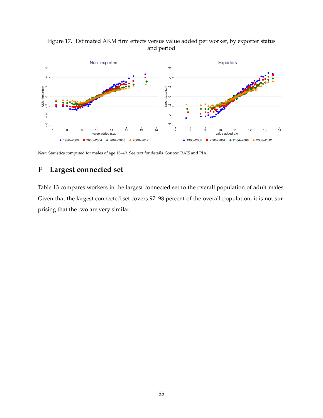



*Note:* Statistics computed for males of age 18–49. See text for details. Source: RAIS and PIA.

# **F Largest connected set**

Table 13 compares workers in the largest connected set to the overall population of adult males. Given that the largest connected set covers 97–98 percent of the overall population, it is not surprising that the two are very similar.